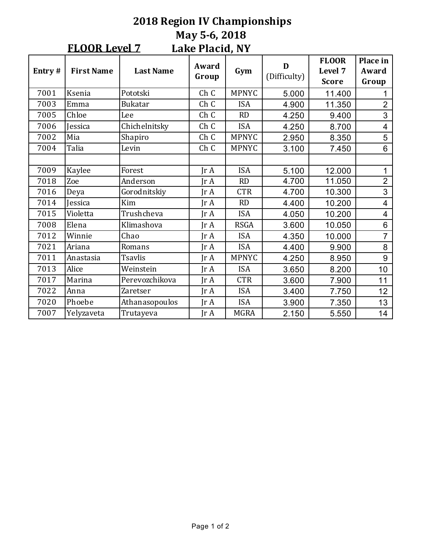#### **2018 Region IV Championships May 5-6, 2018** Lake Placid, NY **FLOOR Level 7**

| Entry# | <b>First Name</b> | <b>Last Name</b> | Award<br>Group          | Gym          | D<br>(Difficulty) | <b>FLOOR</b><br>Level 7<br><b>Score</b> | Place in<br>Award<br>Group |
|--------|-------------------|------------------|-------------------------|--------------|-------------------|-----------------------------------------|----------------------------|
| 7001   | Ksenia            | Pototski         | Ch C                    | <b>MPNYC</b> | 5.000             | 11.400                                  |                            |
| 7003   | Emma              | <b>Bukatar</b>   | Ch C                    | <b>ISA</b>   | 4.900             | 11.350                                  | $\overline{2}$             |
| 7005   | Chloe             | Lee              | Ch C                    | RD           | 4.250             | 9.400                                   | 3                          |
| 7006   | <b>Jessica</b>    | Chichelnitsky    | Ch C                    | <b>ISA</b>   | 4.250             | 8.700                                   | $\overline{\mathcal{A}}$   |
| 7002   | Mia               | Shapiro          | Ch C                    | <b>MPNYC</b> | 2.950             | 8.350                                   | 5                          |
| 7004   | Talia             | Levin            | Ch C                    | <b>MPNYC</b> | 3.100             | 7.450                                   | 6                          |
|        |                   |                  |                         |              |                   |                                         |                            |
| 7009   | Kaylee            | Forest           | $\text{Tr } \mathbf{A}$ | <b>ISA</b>   | 5.100             | 12.000                                  | 1                          |
| 7018   | Zoe               | Anderson         | $\text{Tr } \mathbf{A}$ | <b>RD</b>    | 4.700             | 11.050                                  | $\overline{2}$             |
| 7016   | Deya              | Gorodnitskiy     | Jr A                    | <b>CTR</b>   | 4.700             | 10.300                                  | 3                          |
| 7014   | <b>Jessica</b>    | Kim              | IrA                     | <b>RD</b>    | 4.400             | 10.200                                  | $\overline{4}$             |
| 7015   | Violetta          | Trushcheva       | $\text{Tr }A$           | <b>ISA</b>   | 4.050             | 10.200                                  | $\overline{\mathcal{A}}$   |
| 7008   | Elena             | Klimashova       | $\text{Tr }A$           | <b>RSGA</b>  | 3.600             | 10.050                                  | 6                          |
| 7012   | Winnie            | Chao             | $\text{Tr } \mathbf{A}$ | <b>ISA</b>   | 4.350             | 10.000                                  | $\overline{7}$             |
| 7021   | Ariana            | Romans           | JrA                     | <b>ISA</b>   | 4.400             | 9.900                                   | 8                          |
| 7011   | Anastasia         | Tsavlis          | Jr A                    | <b>MPNYC</b> | 4.250             | 8.950                                   | 9                          |
| 7013   | Alice             | Weinstein        | IrA                     | <b>ISA</b>   | 3.650             | 8.200                                   | 10                         |
| 7017   | Marina            | Perevozchikova   | JrA                     | <b>CTR</b>   | 3.600             | 7.900                                   | 11                         |
| 7022   | Anna              | Zaretser         | Jr A                    | <b>ISA</b>   | 3.400             | 7.750                                   | 12                         |
| 7020   | Phoebe            | Athanasopoulos   | JrA                     | <b>ISA</b>   | 3.900             | 7.350                                   | 13                         |
| 7007   | Yelyzaveta        | Trutayeva        | Jr A                    | <b>MGRA</b>  | 2.150             | 5.550                                   | 14                         |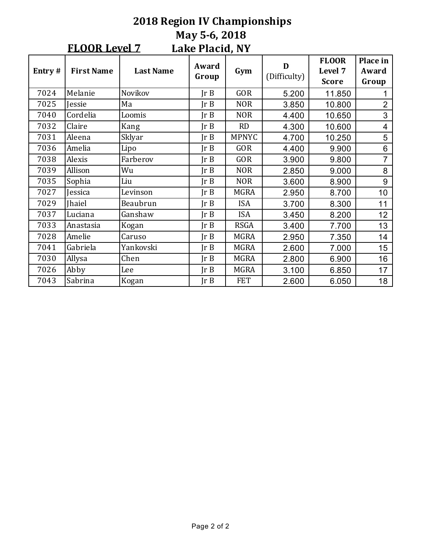# **2018 Region IV Championships May 5-6, 2018 Lake Placid, NY FLOOR Level 7**

| Entry# | <b>First Name</b> | <b>Last Name</b> | Award<br>Group | Gym          | D<br>(Difficulty) | <b>FLOOR</b><br>Level 7<br><b>Score</b> | Place in<br>Award<br>Group |
|--------|-------------------|------------------|----------------|--------------|-------------------|-----------------------------------------|----------------------------|
| 7024   | Melanie           | Novikov          | Ir B           | <b>GOR</b>   | 5.200             | 11.850                                  |                            |
| 7025   | <b>Jessie</b>     | Ma               | Ir B           | <b>NOR</b>   | 3.850             | 10.800                                  | $\overline{2}$             |
| 7040   | Cordelia          | Loomis           | Ir B           | <b>NOR</b>   | 4.400             | 10.650                                  | 3                          |
| 7032   | Claire            | Kang             | Ir B           | <b>RD</b>    | 4.300             | 10.600                                  | 4                          |
| 7031   | Aleena            | Sklyar           | Ir B           | <b>MPNYC</b> | 4.700             | 10.250                                  | 5                          |
| 7036   | Amelia            | Lipo             | Ir B           | <b>GOR</b>   | 4.400             | 9.900                                   | 6                          |
| 7038   | Alexis            | Farberov         | Ir B           | <b>GOR</b>   | 3.900             | 9.800                                   | 7                          |
| 7039   | Allison           | Wu               | Ir B           | <b>NOR</b>   | 2.850             | 9.000                                   | 8                          |
| 7035   | Sophia            | Liu              | Ir B           | <b>NOR</b>   | 3.600             | 8.900                                   | 9                          |
| 7027   | Jessica           | Levinson         | Ir B           | <b>MGRA</b>  | 2.950             | 8.700                                   | 10                         |
| 7029   | <b>Ihaiel</b>     | Beaubrun         | Ir B           | <b>ISA</b>   | 3.700             | 8.300                                   | 11                         |
| 7037   | Luciana           | Ganshaw          | Ir B           | <b>ISA</b>   | 3.450             | 8.200                                   | 12                         |
| 7033   | Anastasia         | Kogan            | Ir B           | <b>RSGA</b>  | 3.400             | 7.700                                   | 13                         |
| 7028   | Amelie            | Caruso           | Ir B           | <b>MGRA</b>  | 2.950             | 7.350                                   | 14                         |
| 7041   | Gabriela          | Yankovski        | Ir B           | <b>MGRA</b>  | 2.600             | 7.000                                   | 15                         |
| 7030   | Allysa            | Chen             | Ir B           | <b>MGRA</b>  | 2.800             | 6.900                                   | 16                         |
| 7026   | Abby              | Lee              | Ir B           | <b>MGRA</b>  | 3.100             | 6.850                                   | 17                         |
| 7043   | Sabrina           | Kogan            | Ir B           | <b>FET</b>   | 2.600             | 6.050                                   | 18                         |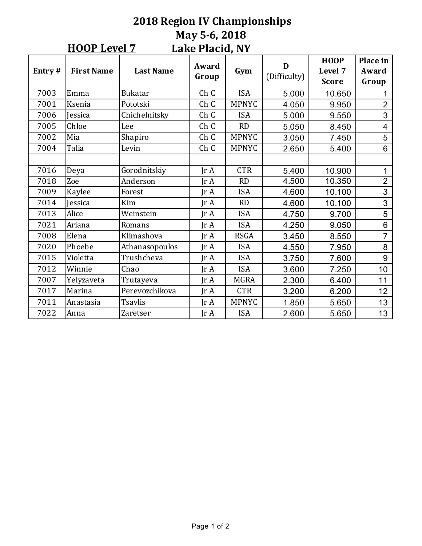#### **2018 Region IV Championships May 5-6, 2018** Lake Placid, NY **HOOP** Level 7

| Entry# | <b>First Name</b> | <b>Last Name</b> | Award<br>Group          | Gym          | D<br>(Difficulty) | <b>HOOP</b><br>Level 7<br><b>Score</b> | Place in<br>Award<br>Group |
|--------|-------------------|------------------|-------------------------|--------------|-------------------|----------------------------------------|----------------------------|
| 7003   | Emma              | <b>Bukatar</b>   | Ch C                    | <b>ISA</b>   | 5.000             | 10.650                                 |                            |
| 7001   | Ksenia            | Pototski         | Ch C                    | <b>MPNYC</b> | 4.050             | 9.950                                  | $\overline{2}$             |
| 7006   | <b>Jessica</b>    | Chichelnitsky    | Ch C                    | <b>ISA</b>   | 5.000             | 9.550                                  | 3                          |
| 7005   | Chloe             | Lee              | Ch C                    | RD           | 5.050             | 8.450                                  | $\overline{\mathcal{A}}$   |
| 7002   | Mia               | Shapiro          | Ch C                    | <b>MPNYC</b> | 3.050             | 7.450                                  | 5                          |
| 7004   | Talia             | Levin            | Ch C                    | <b>MPNYC</b> | 2.650             | 5.400                                  | 6                          |
|        |                   |                  |                         |              |                   |                                        |                            |
| 7016   | Deya              | Gorodnitskiy     | JrA                     | <b>CTR</b>   | 5.400             | 10.900                                 | 1                          |
| 7018   | Zoe               | Anderson         | $\text{Tr } \mathbf{A}$ | RD           | 4.500             | 10.350                                 | $\overline{2}$             |
| 7009   | Kaylee            | Forest           | Jr A                    | <b>ISA</b>   | 4.600             | 10.100                                 | 3                          |
| 7014   | <b>Jessica</b>    | Kim              | $\text{Tr }A$           | RD           | 4.600             | 10.100                                 | 3                          |
| 7013   | Alice             | Weinstein        | Jr A                    | <b>ISA</b>   | 4.750             | 9.700                                  | 5                          |
| 7021   | Ariana            | Romans           | $\text{Tr }A$           | <b>ISA</b>   | 4.250             | 9.050                                  | 6                          |
| 7008   | Elena             | Klimashova       | $\text{Tr } \mathbf{A}$ | <b>RSGA</b>  | 3.450             | 8.550                                  | $\overline{7}$             |
| 7020   | Phoebe            | Athanasopoulos   | $\text{Ir } A$          | <b>ISA</b>   | 4.550             | 7.950                                  | 8                          |
| 7015   | Violetta          | Trushcheva       | $\text{Tr } \mathbf{A}$ | <b>ISA</b>   | 3.750             | 7.600                                  | 9                          |
| 7012   | Winnie            | Chao             | $\text{Tr }A$           | <b>ISA</b>   | 3.600             | 7.250                                  | 10                         |
| 7007   | Yelyzaveta        | Trutayeva        | Jr A                    | <b>MGRA</b>  | 2.300             | 6.400                                  | 11                         |
| 7017   | Marina            | Perevozchikova   | Jr A                    | <b>CTR</b>   | 3.200             | 6.200                                  | 12                         |
| 7011   | Anastasia         | <b>Tsavlis</b>   | JrA                     | <b>MPNYC</b> | 1.850             | 5.650                                  | 13                         |
| 7022   | Anna              | <b>Zaretser</b>  | Jr A                    | <b>ISA</b>   | 2.600             | 5.650                                  | 13                         |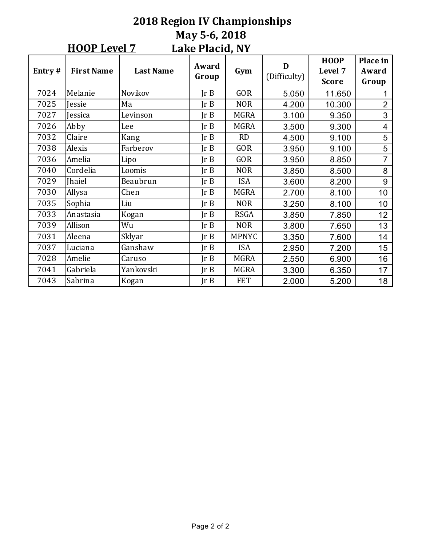#### **2018 Region IV Championships May 5-6, 2018** Lake Placid, NY **HOOP** Level 7 **Entry** # **First Name Last Name Award Group** Award Gym D<br>Group Gym Difficulty) **HOOP**  Level 7 **Score Place** in **Award Group** 7024 |Melanie | Novikov | Jr B | GOR | 5.050 | 11.650 | 1 7025 Jessie Ma Jr B NOR 4.200 10.300 2 7027 |Jessica | Levinson | Jr B | MGRA | 3.100 | 9.350 | 3 7026 Abby Lee Jr B MGRA 3.500 9.300 4 7032 |Claire | Kang | Jr B | RD | 4.500 | 9.100 | 5 7038 |Alexis | Farberov | Jr B | GOR | 3.950 | 9.100 | 5 7036 |Amelia | Lipo | Jr $\,$ B | GOR | 3.950 | 8.850 | 7 7040 |Cordelia | Loomis | Jr B | NOR | 3.850 | 8.500 | 8 7029 Jhaiel Beaubrun Jr B ISA 3.600 8.200 9 7030 Allysa Chen Jr B MGRA 2.700 8.100 10 7035 |Sophia | Liu | Jr $\,$ B | NOR | 3.250 | 8.100 | 10 7033 |Anastasia | Kogan | Jr B | RSGA | 3.850 | 7.850 | 12 7039 |Allison | Wu | Jr B | NOR | 3.800 | 7.650 | 13 7031 |Aleena | Sklyar | Jr B | MPNYC | 3.350 | 7.600 | 14 7037 |Luciana |Ganshaw | Jr B | ISA | 2.950 | 7.200 | 15

7028 Amelie Caruso Jr B MGRA 2.550 6.900 16 7041 |Gabriela | Yankovski | Jr $\,$ B | MGRA | 3.300 | 6.350 | 17 7043 |Sabrina | Kogan | Jr B | FET | 2.000 | 5.200 | 18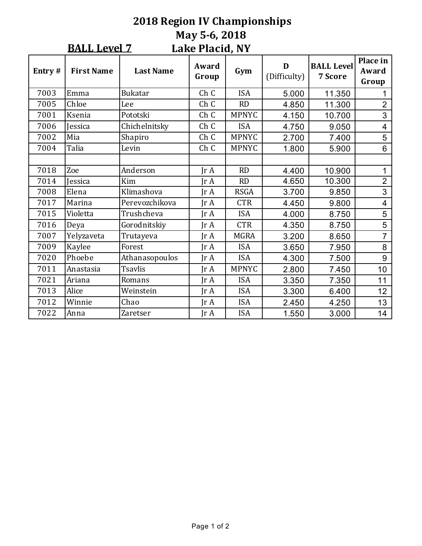#### **2018 Region IV Championships May 5-6, 2018** Lake Placid, NY **BALL Level 7**

| Entry# | <b>First Name</b> | <b>Last Name</b> | LUIN I RUURI II L<br>Award<br>Group | Gym          | D<br>(Difficulty) | <b>BALL Level</b><br>7 Score | Place in<br>Award<br>Group |
|--------|-------------------|------------------|-------------------------------------|--------------|-------------------|------------------------------|----------------------------|
| 7003   | Emma              | <b>Bukatar</b>   | Ch C                                | <b>ISA</b>   | 5.000             | 11.350                       | 1                          |
| 7005   | Chloe             | Lee              | Ch C                                | RD           | 4.850             | 11.300                       | $\overline{2}$             |
| 7001   | Ksenia            | Pototski         | Ch C                                | <b>MPNYC</b> | 4.150             | 10.700                       | 3                          |
| 7006   | <b>Jessica</b>    | Chichelnitsky    | Ch C                                | <b>ISA</b>   | 4.750             | 9.050                        | 4                          |
| 7002   | Mia               | Shapiro          | Ch C                                | <b>MPNYC</b> | 2.700             | 7.400                        | 5                          |
| 7004   | Talia             | Levin            | Ch C                                | <b>MPNYC</b> | 1.800             | 5.900                        | 6                          |
|        |                   |                  |                                     |              |                   |                              |                            |
| 7018   | Zoe               | Anderson         | $\text{Tr }A$                       | <b>RD</b>    | 4.400             | 10.900                       | 1                          |
| 7014   | <b>Jessica</b>    | Kim              | IrA                                 | <b>RD</b>    | 4.650             | 10.300                       | $\overline{2}$             |
| 7008   | Elena             | Klimashova       | IrA                                 | <b>RSGA</b>  | 3.700             | 9.850                        | 3                          |
| 7017   | Marina            | Perevozchikova   | IrA                                 | <b>CTR</b>   | 4.450             | 9.800                        | $\overline{4}$             |
| 7015   | Violetta          | Trushcheva       | $\text{Tr } \mathbf{A}$             | <b>ISA</b>   | 4.000             | 8.750                        | 5                          |
| 7016   | Deya              | Gorodnitskiy     | $\text{Tr }A$                       | <b>CTR</b>   | 4.350             | 8.750                        | 5                          |
| 7007   | Yelyzaveta        | Trutayeva        | Jr A                                | <b>MGRA</b>  | 3.200             | 8.650                        | 7                          |
| 7009   | Kaylee            | Forest           | $\text{Tr }A$                       | <b>ISA</b>   | 3.650             | 7.950                        | 8                          |
| 7020   | Phoebe            | Athanasopoulos   | IrA                                 | <b>ISA</b>   | 4.300             | 7.500                        | 9                          |
| 7011   | Anastasia         | <b>Tsavlis</b>   | JrA                                 | <b>MPNYC</b> | 2.800             | 7.450                        | 10                         |
| 7021   | Ariana            | Romans           | $\text{Tr }A$                       | <b>ISA</b>   | 3.350             | 7.350                        | 11                         |
| 7013   | Alice             | Weinstein        | $\text{Tr }A$                       | <b>ISA</b>   | 3.300             | 6.400                        | 12                         |
| 7012   | Winnie            | Chao             | $\text{Tr }A$                       | <b>ISA</b>   | 2.450             | 4.250                        | 13                         |
| 7022   | Anna              | Zaretser         | $\text{Tr }A$                       | <b>ISA</b>   | 1.550             | 3.000                        | 14                         |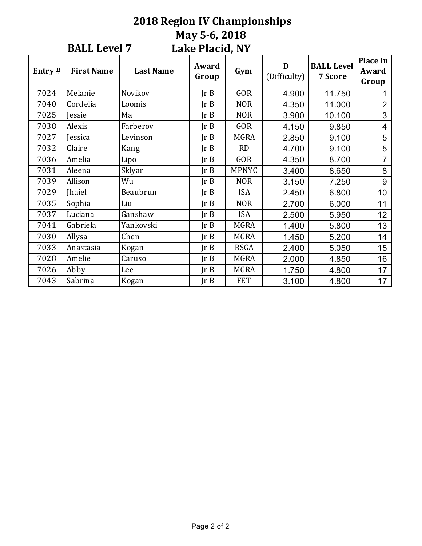|                                        | <b>2018 Region IV Championships</b><br>May 5-6, 2018 |                  |                |              |                   |                                     |                            |  |  |  |  |  |
|----------------------------------------|------------------------------------------------------|------------------|----------------|--------------|-------------------|-------------------------------------|----------------------------|--|--|--|--|--|
| <b>BALL Level 7</b><br>Lake Placid, NY |                                                      |                  |                |              |                   |                                     |                            |  |  |  |  |  |
| Entry#                                 | <b>First Name</b>                                    | <b>Last Name</b> | Award<br>Group | Gym          | D<br>(Difficulty) | <b>BALL Level</b><br><b>7 Score</b> | Place in<br>Award<br>Group |  |  |  |  |  |
| 7024                                   | Melanie                                              | Novikov          | $\text{Tr } B$ | <b>GOR</b>   | 4.900             | 11.750                              | 1                          |  |  |  |  |  |
| 7040                                   | Cordelia                                             | Loomis           | JrB            | <b>NOR</b>   | 4.350             | 11.000                              | $\overline{2}$             |  |  |  |  |  |
| 7025                                   | Jessie                                               | Ma               | JrB            | <b>NOR</b>   | 3.900             | 10.100                              | $\mathfrak{S}$             |  |  |  |  |  |
| 7038                                   | Alexis                                               | Farberov         | Ir B           | <b>GOR</b>   | 4.150             | 9.850                               | $\overline{4}$             |  |  |  |  |  |
| 7027                                   | Jessica                                              | Levinson         | Ir B           | <b>MGRA</b>  | 2.850             | 9.100                               | 5                          |  |  |  |  |  |
| 7032                                   | Claire                                               | Kang             | $\text{Tr } B$ | <b>RD</b>    | 4.700             | 9.100                               | 5                          |  |  |  |  |  |
| 7036                                   | Amelia                                               | Lipo             | Ir B           | <b>GOR</b>   | 4.350             | 8.700                               | $\overline{7}$             |  |  |  |  |  |
| 7031                                   | Aleena                                               | Sklyar           | JrB            | <b>MPNYC</b> | 3.400             | 8.650                               | 8                          |  |  |  |  |  |
| 7039                                   | Allison                                              | Wu               | JrB            | <b>NOR</b>   | 3.150             | 7.250                               | 9                          |  |  |  |  |  |
| 7029                                   | <b>Jhaiel</b>                                        | Beaubrun         | Ir B           | <b>ISA</b>   | 2.450             | 6.800                               | 10                         |  |  |  |  |  |
| 7035                                   | Sophia                                               | Liu              | Ir B           | <b>NOR</b>   | 2.700             | 6.000                               | 11                         |  |  |  |  |  |
| 7037                                   | Luciana                                              | Ganshaw          | Ir B           | <b>ISA</b>   | 2.500             | 5.950                               | 12                         |  |  |  |  |  |
| 7041                                   | Gabriela                                             | Yankovski        | JrB            | <b>MGRA</b>  | 1.400             | 5.800                               | 13                         |  |  |  |  |  |
| 7030                                   | Allysa                                               | Chen             | JrB            | <b>MGRA</b>  | 1.450             | 5.200                               | 14                         |  |  |  |  |  |
| 7033                                   | Anastasia                                            | Kogan            | JrB            | <b>RSGA</b>  | 2.400             | 5.050                               | 15                         |  |  |  |  |  |
| 7028                                   | Amelie                                               | Caruso           | Ir B           | <b>MGRA</b>  | 2.000             | 4.850                               | 16                         |  |  |  |  |  |
| 7026                                   | Abby                                                 | Lee              | JrB            | <b>MGRA</b>  | 1.750             | 4.800                               | 17                         |  |  |  |  |  |

7043 |Sabrina | Kogan | Jr B | FET | 3.100 | 4.800 | 17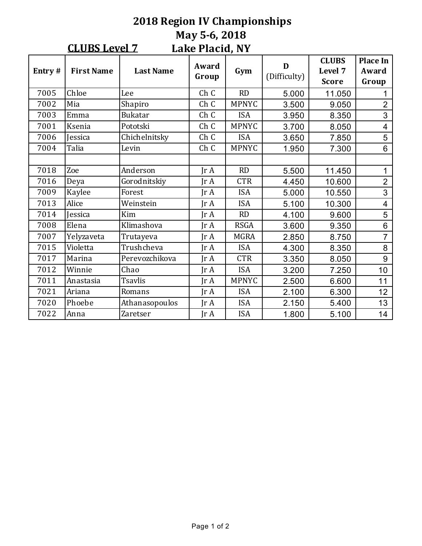#### **2018 Region IV Championships May 5-6, 2018** Lake Placid, NY **CLUBS Level 7**

| Entry# | <b>First Name</b> | <b>Last Name</b> | Award<br>Group          | Gym          | D<br>(Difficulty) | <b>CLUBS</b><br>Level 7<br><b>Score</b> | <b>Place In</b><br>Award<br>Group |
|--------|-------------------|------------------|-------------------------|--------------|-------------------|-----------------------------------------|-----------------------------------|
| 7005   | Chloe             | Lee              | Ch C                    | <b>RD</b>    | 5.000             | 11.050                                  | 1                                 |
| 7002   | Mia               | Shapiro          | Ch C                    | <b>MPNYC</b> | 3.500             | 9.050                                   | $\overline{2}$                    |
| 7003   | Emma              | <b>Bukatar</b>   | Ch C                    | <b>ISA</b>   | 3.950             | 8.350                                   | 3                                 |
| 7001   | Ksenia            | Pototski         | Ch C                    | <b>MPNYC</b> | 3.700             | 8.050                                   | $\overline{\mathbf{4}}$           |
| 7006   | Jessica           | Chichelnitsky    | Ch C                    | <b>ISA</b>   | 3.650             | 7.850                                   | 5                                 |
| 7004   | Talia             | Levin            | Ch C                    | <b>MPNYC</b> | 1.950             | 7.300                                   | 6                                 |
|        |                   |                  |                         |              |                   |                                         |                                   |
| 7018   | Zoe               | Anderson         | $\text{Tr }A$           | <b>RD</b>    | 5.500             | 11.450                                  | 1                                 |
| 7016   | Deya              | Gorodnitskiy     | $\text{Tr }A$           | <b>CTR</b>   | 4.450             | 10.600                                  | $\overline{2}$                    |
| 7009   | Kaylee            | Forest           | Jr A                    | <b>ISA</b>   | 5.000             | 10.550                                  | 3                                 |
| 7013   | Alice             | Weinstein        | IrA                     | <b>ISA</b>   | 5.100             | 10.300                                  | $\overline{\mathcal{A}}$          |
| 7014   | <b>Jessica</b>    | Kim              | Jr A                    | <b>RD</b>    | 4.100             | 9.600                                   | 5                                 |
| 7008   | Elena             | Klimashova       | $\text{Tr }A$           | <b>RSGA</b>  | 3.600             | 9.350                                   | 6                                 |
| 7007   | Yelyzaveta        | Trutayeva        | IrA                     | <b>MGRA</b>  | 2.850             | 8.750                                   | $\overline{7}$                    |
| 7015   | Violetta          | Trushcheva       | $\text{Tr } \mathbf{A}$ | <b>ISA</b>   | 4.300             | 8.350                                   | 8                                 |
| 7017   | Marina            | Perevozchikova   | $\text{Tr } \mathbf{A}$ | <b>CTR</b>   | 3.350             | 8.050                                   | 9                                 |
| 7012   | Winnie            | Chao             | JrA                     | <b>ISA</b>   | 3.200             | 7.250                                   | 10                                |
| 7011   | Anastasia         | <b>Tsavlis</b>   | JrA                     | <b>MPNYC</b> | 2.500             | 6.600                                   | 11                                |
| 7021   | Ariana            | Romans           | JrA                     | <b>ISA</b>   | 2.100             | 6.300                                   | 12                                |
| 7020   | Phoebe            | Athanasopoulos   | JrA                     | <b>ISA</b>   | 2.150             | 5.400                                   | 13                                |
| 7022   | Anna              | <b>Zaretser</b>  | $\text{Tr }A$           | <b>ISA</b>   | 1.800             | 5.100                                   | 14                                |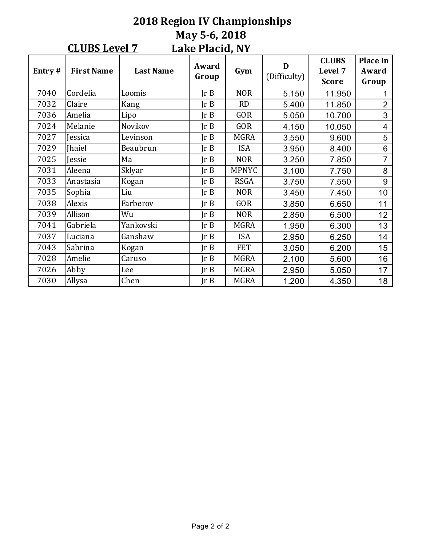#### **2018 Region IV Championships May 5-6, 2018** Lake Placid, NY **CLUBS Level 7 Entry** # **First Name Last Name Award Group** Award Gym D<br>Group Gym Difficulty) **CLUBS**  Level 7 **Score Place** In **Award Group** 7040 |Cordelia | Loomis | Jr B | NOR | 5.150 | 11.950 | 1 7032 |Claire | Kang | Jr B | RD | 5.400 | 11.850 | 2 7036 |Amelia | Lipo | Jr $\,$ B | GOR | 5.050 | 10.700 | 3 7024 |Melanie |Novikov | Jr B | GOR | 4.150 | 10.050 | 4 7027 |Jessica | Levinson | Jr B | MGRA | 3.550 | 9.600 | 5 7029 Jhaiel Beaubrun Jr B ISA 3.950 8.400 6 7025 Jessie Ma Jr B NOR 3.250 7.850 7 7031 |Aleena | Sklyar | Jr B | MPNYC | 3.100 | 7.750 | 8 7033 |Anastasia | Kogan | Jr B | RSGA | 3.750 | 7.550 | 9 7035 |Sophia | Liu | Jr $\,$ B | NOR | 3.450 | 7.450 | 10 7038 |Alexis | Farberov | Jr B | GOR | 3.850 | 6.650 | 11 7039 |Allison | Wu | Jr B | NOR | 2.850 | 6.500 | 12 7041 |Gabriela | Yankovski | Jr $\,$ B | MGRA | 1.950 | 6.300 | 13 7037 |Luciana | Ganshaw | Jr B | ISA | 2.950 | 6.250 | 14 7043 |Sabrina | Kogan | Jr B | FET | 3.050 | 6.200 | 15

7028 Amelie Caruso Jr B MGRA 2.100 5.600 16 7026 Abby Lee Jr B MGRA 2.950 5.050 17 7030 Allysa Chen Jr B MGRA 1.200 4.350 18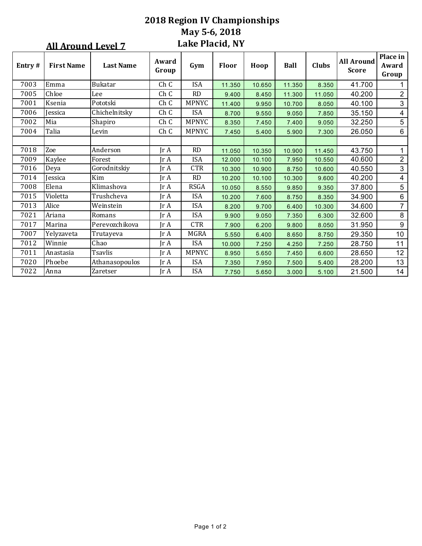### **2018 Region IV Championships May 5-6, 2018** Lake Placid, NY

|        | <u>All Around Level 7</u> |                  |                              | Lake Placid, NY |        |        |             |              |                                   |                            |
|--------|---------------------------|------------------|------------------------------|-----------------|--------|--------|-------------|--------------|-----------------------------------|----------------------------|
| Entry# | <b>First Name</b>         | <b>Last Name</b> | Award<br>Group               | Gym             | Floor  | Hoop   | <b>Ball</b> | <b>Clubs</b> | <b>All Around</b><br><b>Score</b> | Place in<br>Award<br>Group |
| 7003   | Emma                      | Bukatar          | Ch C                         | <b>ISA</b>      | 11.350 | 10.650 | 11.350      | 8.350        | 41.700                            |                            |
| 7005   | Chloe                     | Lee              | Ch C                         | RD              | 9.400  | 8.450  | 11.300      | 11.050       | 40.200                            | $\overline{2}$             |
| 7001   | Ksenia                    | Pototski         | Ch C                         | <b>MPNYC</b>    | 11.400 | 9.950  | 10.700      | 8.050        | 40.100                            | 3                          |
| 7006   | Jessica                   | Chichelnitsky    | Ch C                         | <b>ISA</b>      | 8.700  | 9.550  | 9.050       | 7.850        | 35.150                            | $\overline{\mathbf{4}}$    |
| 7002   | Mia                       | Shapiro          | Ch C                         | <b>MPNYC</b>    | 8.350  | 7.450  | 7.400       | 9.050        | 32.250                            | $\sqrt{5}$                 |
| 7004   | Talia                     | Levin            | Ch C                         | <b>MPNYC</b>    | 7.450  | 5.400  | 5.900       | 7.300        | 26.050                            | 6                          |
|        |                           |                  |                              |                 |        |        |             |              |                                   |                            |
| 7018   | Zoe                       | Anderson         | $\mathop{\rm Ir}\nolimits$ A | <b>RD</b>       | 11.050 | 10.350 | 10.900      | 11.450       | 43.750                            | $\mathbf{1}$               |
| 7009   | Kaylee                    | Forest           | Jr A                         | <b>ISA</b>      | 12.000 | 10.100 | 7.950       | 10.550       | 40.600                            | $\sqrt{2}$                 |
| 7016   | Deya                      | Gorodnitskiy     | Jr A                         | <b>CTR</b>      | 10.300 | 10.900 | 8.750       | 10.600       | 40.550                            | 3                          |
| 7014   | Jessica                   | Kim              | Ir A                         | RD              | 10.200 | 10.100 | 10.300      | 9.600        | 40.200                            | $\overline{4}$             |
| 7008   | Elena                     | Klimashova       | $\ln A$                      | <b>RSGA</b>     | 10.050 | 8.550  | 9.850       | 9.350        | 37.800                            | $\overline{5}$             |
| 7015   | Violetta                  | Trushcheva       | $\ln A$                      | <b>ISA</b>      | 10.200 | 7.600  | 8.750       | 8.350        | 34.900                            | $\,6\,$                    |
| 7013   | Alice                     | Weinstein        | $\mathop{\rm Ir}\nolimits$ A | <b>ISA</b>      | 8.200  | 9.700  | 6.400       | 10.300       | 34.600                            | $\overline{7}$             |
| 7021   | Ariana                    | Romans           | $\ln A$                      | <b>ISA</b>      | 9.900  | 9.050  | 7.350       | 6.300        | 32.600                            | $\,8\,$                    |
| 7017   | Marina                    | Perevozchikova   | $\ln A$                      | <b>CTR</b>      | 7.900  | 6.200  | 9.800       | 8.050        | 31.950                            | $\boldsymbol{9}$           |
| 7007   | Yelyzaveta                | Trutayeva        | IrA                          | <b>MGRA</b>     | 5.550  | 6.400  | 8.650       | 8.750        | 29.350                            | 10                         |
| 7012   | Winnie                    | Chao             | IrA                          | <b>ISA</b>      | 10.000 | 7.250  | 4.250       | 7.250        | 28.750                            | 11                         |
| 7011   | Anastasia                 | <b>Tsavlis</b>   | Jr A                         | MPNYC           | 8.950  | 5.650  | 7.450       | 6.600        | 28.650                            | 12                         |
| 7020   | Phoebe                    | Athanasopoulos   | $\text{Tr } \mathbf{A}$      | <b>ISA</b>      | 7.350  | 7.950  | 7.500       | 5.400        | 28.200                            | 13                         |
| 7022   | Anna                      | Zaretser         | $\ln A$                      | <b>ISA</b>      | 7.750  | 5.650  | 3.000       | 5.100        | 21.500                            | 14                         |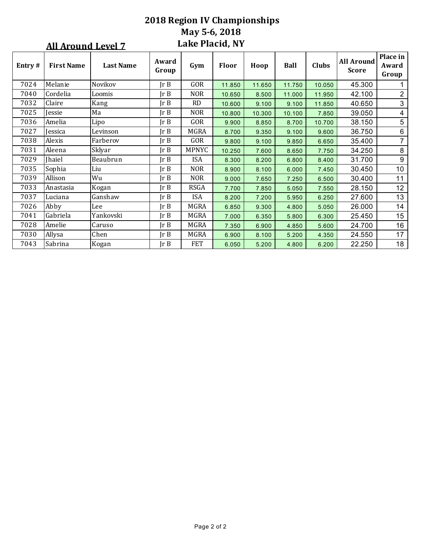|                                                     | <b>2018 Region IV Championships</b>                                                                            |           |         |               |        |        |        |        |        |                         |  |  |  |
|-----------------------------------------------------|----------------------------------------------------------------------------------------------------------------|-----------|---------|---------------|--------|--------|--------|--------|--------|-------------------------|--|--|--|
|                                                     |                                                                                                                |           |         | May 5-6, 2018 |        |        |        |        |        |                         |  |  |  |
| <b>Lake Placid, NY</b><br><b>All Around Level 7</b> |                                                                                                                |           |         |               |        |        |        |        |        |                         |  |  |  |
| Entry#                                              | Award<br><b>First Name</b><br><b>Last Name</b><br>Floor<br><b>Clubs</b><br>Gym<br><b>Ball</b><br>Hoop<br>Group |           |         |               |        |        |        |        |        |                         |  |  |  |
| 7024                                                | Melanie                                                                                                        | Novikov   | $\ln B$ | GOR           | 11.850 | 11.650 | 11.750 | 10.050 | 45.300 | 1                       |  |  |  |
| 7040                                                | Cordelia                                                                                                       | Loomis    | Ir B    | <b>NOR</b>    | 10.650 | 8.500  | 11.000 | 11.950 | 42.100 | $\overline{2}$          |  |  |  |
| 7032                                                | Claire                                                                                                         | Kang      | Ir B    | <b>RD</b>     | 10.600 | 9.100  | 9.100  | 11.850 | 40.650 | $\sqrt{3}$              |  |  |  |
| 7025                                                | Jessie                                                                                                         | Ma        | Ir B    | <b>NOR</b>    | 10.800 | 10.300 | 10.100 | 7.850  | 39.050 | $\overline{\mathbf{4}}$ |  |  |  |
| 7036                                                | Amelia                                                                                                         | Lipo      | Ir B    | GOR           | 9.900  | 8.850  | 8.700  | 10.700 | 38.150 | $\sqrt{5}$              |  |  |  |
| 7027                                                | Jessica                                                                                                        | Levinson  | Ir B    | <b>MGRA</b>   | 8.700  | 9.350  | 9.100  | 9.600  | 36.750 | $\,6\,$                 |  |  |  |
| 7038                                                | Alexis                                                                                                         | Farberov  | Ir B    | GOR           | 9.800  | 9.100  | 9.850  | 6.650  | 35.400 | $\overline{7}$          |  |  |  |
| 7031                                                | Aleena                                                                                                         | Sklyar    | Ir B    | <b>MPNYC</b>  | 10.250 | 7.600  | 8.650  | 7.750  | 34.250 | $\,8\,$                 |  |  |  |
| 7029                                                | <b>Jhaiel</b>                                                                                                  | Beaubrun  | Ir B    | <b>ISA</b>    | 8.300  | 8.200  | 6.800  | 8.400  | 31.700 | $\boldsymbol{9}$        |  |  |  |
| 7035                                                | Sophia                                                                                                         | Liu       | Ir B    | <b>NOR</b>    | 8.900  | 8.100  | 6.000  | 7.450  | 30.450 | 10                      |  |  |  |
| 7039                                                | Allison                                                                                                        | Wu        | Ir B    | <b>NOR</b>    | 9.000  | 7.650  | 7.250  | 6.500  | 30.400 | 11                      |  |  |  |
| 7033                                                | Anastasia                                                                                                      | Kogan     | Ir B    | <b>RSGA</b>   | 7.700  | 7.850  | 5.050  | 7.550  | 28.150 | 12                      |  |  |  |
| 7037                                                | Luciana                                                                                                        | Ganshaw   | Ir B    | <b>ISA</b>    | 8.200  | 7.200  | 5.950  | 6.250  | 27.600 | 13                      |  |  |  |
| 7026                                                | Abby                                                                                                           | Lee       | Ir B    | <b>MGRA</b>   | 6.850  | 9.300  | 4.800  | 5.050  | 26.000 | 14                      |  |  |  |
| 7041                                                | Gabriela                                                                                                       | Yankovski | Ir B    | <b>MGRA</b>   | 7.000  | 6.350  | 5.800  | 6.300  | 25.450 | 15                      |  |  |  |
| 7028                                                | Amelie                                                                                                         | Caruso    | Ir B    | <b>MGRA</b>   | 7.350  | 6.900  | 4.850  | 5.600  | 24.700 | 16                      |  |  |  |
| 7030                                                | Allysa                                                                                                         | Chen      | Ir B    | MGRA          | 6.900  | 8.100  | 5.200  | 4.350  | 24.550 | 17                      |  |  |  |
| 7043                                                | Sabrina                                                                                                        | Kogan     | Ir B    | <b>FET</b>    | 6.050  | 5.200  | 4.800  | 6.200  | 22.250 | 18                      |  |  |  |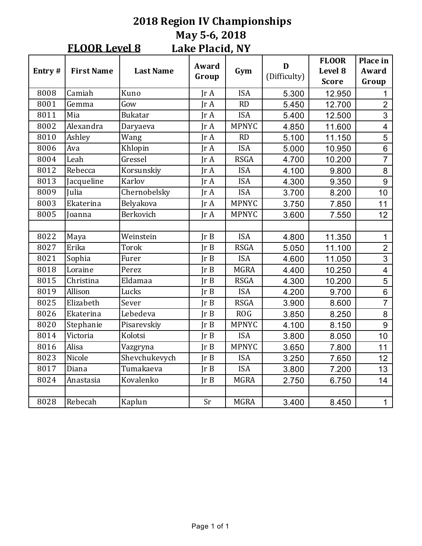#### **2018 Region IV Championships May 5-6, 2018** Lake Placid, NY **FLOOR Level 8**

| Entry# | <b>First Name</b> | <b>Last Name</b> | Award<br>Group | Gym          | D<br>(Difficulty) | <b>FLOOR</b><br>Level 8<br><b>Score</b> | Place in<br>Award<br>Group |
|--------|-------------------|------------------|----------------|--------------|-------------------|-----------------------------------------|----------------------------|
| 8008   | Camiah            | Kuno             | IrA            | <b>ISA</b>   | 5.300             | 12.950                                  | 1                          |
| 8001   | Gemma             | Gow              | IrA            | RD           | 5.450             | 12.700                                  | $\overline{2}$             |
| 8011   | Mia               | <b>Bukatar</b>   | IrA            | <b>ISA</b>   | 5.400             | 12.500                                  | 3                          |
| 8002   | Alexandra         | Daryaeva         | Jr A           | <b>MPNYC</b> | 4.850             | 11.600                                  | $\overline{\mathbf{4}}$    |
| 8010   | Ashley            | Wang             | IrA            | <b>RD</b>    | 5.100             | 11.150                                  | 5                          |
| 8006   | Ava               | Khlopin          | IrA            | <b>ISA</b>   | 5.000             | 10.950                                  | $\overline{6}$             |
| 8004   | Leah              | Gressel          | Jr A           | <b>RSGA</b>  | 4.700             | 10.200                                  | $\overline{7}$             |
| 8012   | Rebecca           | Korsunskiy       | IrA            | <b>ISA</b>   | 4.100             | 9.800                                   | 8                          |
| 8013   | Jacqueline        | Karlov           | IrA            | <b>ISA</b>   | 4.300             | 9.350                                   | 9                          |
| 8009   | Julia             | Chernobelsky     | Jr A           | <b>ISA</b>   | 3.700             | 8.200                                   | 10                         |
| 8003   | Ekaterina         | Belyakova        | IrA            | <b>MPNYC</b> | 3.750             | 7.850                                   | 11                         |
| 8005   | Joanna            | Berkovich        | IrA            | <b>MPNYC</b> | 3.600             | 7.550                                   | 12                         |
|        |                   |                  |                |              |                   |                                         |                            |
| 8022   | Maya              | Weinstein        | Ir B           | <b>ISA</b>   | 4.800             | 11.350                                  | $\mathbf{1}$               |
| 8027   | Erika             | Torok            | Ir B           | <b>RSGA</b>  | 5.050             | 11.100                                  | $\overline{2}$             |
| 8021   | Sophia            | Furer            | Ir B           | <b>ISA</b>   | 4.600             | 11.050                                  | $\overline{3}$             |
| 8018   | Loraine           | Perez            | Ir B           | <b>MGRA</b>  | 4.400             | 10.250                                  | $\overline{\mathbf{4}}$    |
| 8015   | Christina         | Eldamaa          | Ir B           | <b>RSGA</b>  | 4.300             | 10.200                                  | 5                          |
| 8019   | Allison           | Lucks            | Ir B           | <b>ISA</b>   | 4.200             | 9.700                                   | $\overline{6}$             |
| 8025   | Elizabeth         | Sever            | Ir B           | <b>RSGA</b>  | 3.900             | 8.600                                   | $\overline{7}$             |
| 8026   | Ekaterina         | Lebedeva         | Ir B           | <b>ROG</b>   | 3.850             | 8.250                                   | 8                          |
| 8020   | Stephanie         | Pisarevskiy      | Ir B           | <b>MPNYC</b> | 4.100             | 8.150                                   | $\overline{9}$             |
| 8014   | Victoria          | Kolotsi          | Ir B           | <b>ISA</b>   | 3.800             | 8.050                                   | 10                         |
| 8016   | Alisa             | Vazgryna         | Ir B           | <b>MPNYC</b> | 3.650             | 7.800                                   | 11                         |
| 8023   | Nicole            | Shevchukevych    | Ir B           | <b>ISA</b>   | 3.250             | 7.650                                   | 12                         |
| 8017   | Diana             | Tumakaeva        | JrB            | <b>ISA</b>   | 3.800             | 7.200                                   | 13                         |
| 8024   | Anastasia         | Kovalenko        | Ir B           | <b>MGRA</b>  | 2.750             | 6.750                                   | 14                         |
|        |                   |                  |                |              |                   |                                         |                            |
| 8028   | Rebecah           | Kaplun           | Sr             | <b>MGRA</b>  | 3.400             | 8.450                                   | $\mathbf{1}$               |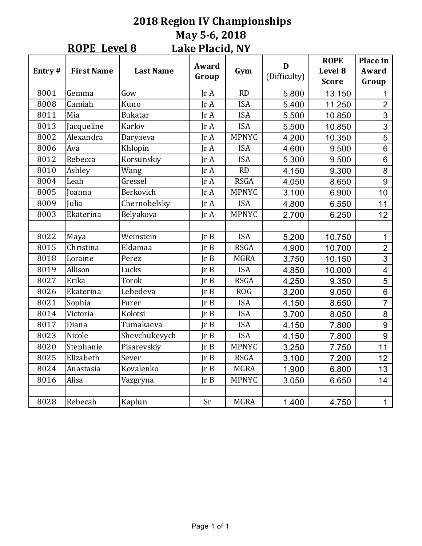#### **2018 Region IV Championships May 5-6, 2018** Lake Placid, NY **ROPE** Level 8

| Entry# | <b>First Name</b> | <b>Last Name</b> | Award<br>Group | Gym          | D<br>(Difficulty) | <b>ROPE</b><br>Level 8<br><b>Score</b> | Place in<br>Award<br>Group |
|--------|-------------------|------------------|----------------|--------------|-------------------|----------------------------------------|----------------------------|
| 8001   | Gemma             | Gow              | IrA            | RD           | 5.800             | 13.150                                 | 1                          |
| 8008   | Camiah            | Kuno             | IrA            | <b>ISA</b>   | 5.400             | 11.250                                 | $\overline{2}$             |
| 8011   | Mia               | <b>Bukatar</b>   | IrA            | <b>ISA</b>   | 5.500             | 10.850                                 | $\overline{3}$             |
| 8013   | Jacqueline        | Karlov           | IrA            | <b>ISA</b>   | 5.500             | 10.850                                 | $\overline{3}$             |
| 8002   | Alexandra         | Daryaeva         | IrA            | <b>MPNYC</b> | 4.200             | 10.350                                 | 5                          |
| 8006   | Ava               | Khlopin          | Jr A           | <b>ISA</b>   | 4.600             | 9.500                                  | $6\phantom{1}$             |
| 8012   | Rebecca           | Korsunskiy       | IrA            | <b>ISA</b>   | 5.300             | 9.500                                  | $6\phantom{1}$             |
| 8010   | Ashley            | Wang             | IrA            | RD           | 4.150             | 9.300                                  | 8                          |
| 8004   | Leah              | Gressel          | IrA            | <b>RSGA</b>  | 4.050             | 8.650                                  | 9                          |
| 8005   | Joanna            | Berkovich        | IrA            | <b>MPNYC</b> | 3.100             | 6.900                                  | 10                         |
| 8009   | Julia             | Chernobelsky     | IrA            | <b>ISA</b>   | 4.800             | 6.550                                  | 11                         |
| 8003   | Ekaterina         | Belyakova        | IrA            | <b>MPNYC</b> | 2.700             | 6.250                                  | 12                         |
|        |                   |                  |                |              |                   |                                        |                            |
| 8022   | Maya              | Weinstein        | Ir B           | <b>ISA</b>   | 5.200             | 10.750                                 | 1                          |
| 8015   | Christina         | Eldamaa          | Ir B           | <b>RSGA</b>  | 4.900             | 10.700                                 | $\overline{2}$             |
| 8018   | Loraine           | Perez            | Ir B           | <b>MGRA</b>  | 3.750             | 10.150                                 | $\overline{3}$             |
| 8019   | Allison           | Lucks            | $\text{Tr } B$ | <b>ISA</b>   | 4.850             | 10.000                                 | $\overline{\mathbf{4}}$    |
| 8027   | Erika             | <b>Torok</b>     | IrB            | <b>RSGA</b>  | 4.250             | 9.350                                  | 5                          |
| 8026   | Ekaterina         | Lebedeva         | Ir B           | <b>ROG</b>   | 3.200             | 9.050                                  | $\overline{6}$             |
| 8021   | Sophia            | Furer            | Ir B           | <b>ISA</b>   | 4.150             | 8.650                                  | $\overline{7}$             |
| 8014   | Victoria          | Kolotsi          | Ir B           | <b>ISA</b>   | 3.700             | 8.050                                  | 8                          |
| 8017   | Diana             | Tumakaeva        | JrB            | <b>ISA</b>   | 4.150             | 7.800                                  | 9                          |
| 8023   | Nicole            | Shevchukevych    | $\text{Tr } B$ | <b>ISA</b>   | 4.150             | 7.800                                  | 9                          |
| 8020   | Stephanie         | Pisarevskiy      | Ir B           | <b>MPNYC</b> | 3.250             | 7.750                                  | 11                         |
| 8025   | Elizabeth         | Sever            | Ir B           | <b>RSGA</b>  | 3.100             | 7.200                                  | 12                         |
| 8024   | Anastasia         | Kovalenko        | Ir B           | <b>MGRA</b>  | 1.900             | 6.800                                  | 13                         |
| 8016   | Alisa             | Vazgryna         | Ir B           | <b>MPNYC</b> | 3.050             | 6.650                                  | 14                         |
|        |                   |                  |                |              |                   |                                        |                            |
| 8028   | Rebecah           | Kaplun           | Sr             | <b>MGRA</b>  | 1.400             | 4.750                                  | 1                          |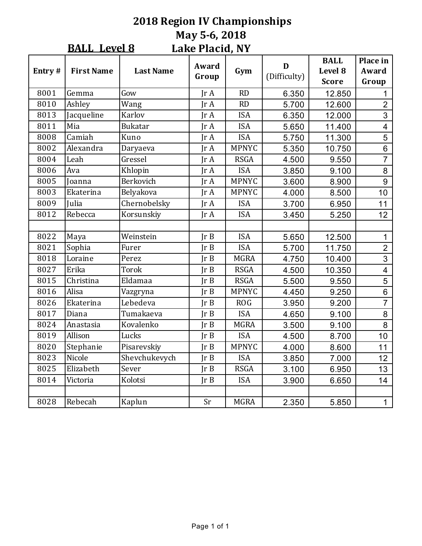#### **2018 Region IV Championships May 5-6, 2018 Lake Placid, NY BALL** Level 8

|        |                   |                  | LANG I RICIU, IVI |              |                   |                                        |                            |
|--------|-------------------|------------------|-------------------|--------------|-------------------|----------------------------------------|----------------------------|
| Entry# | <b>First Name</b> | <b>Last Name</b> | Award<br>Group    | Gym          | D<br>(Difficulty) | <b>BALL</b><br>Level 8<br><b>Score</b> | Place in<br>Award<br>Group |
| 8001   | Gemma             | Gow              | IrA               | <b>RD</b>    | 6.350             | 12.850                                 | 1                          |
| 8010   | Ashley            | Wang             | IrA               | RD           | 5.700             | 12.600                                 | $\overline{2}$             |
| 8013   | Jacqueline        | Karlov           | IrA               | <b>ISA</b>   | 6.350             | 12.000                                 | 3                          |
| 8011   | Mia               | <b>Bukatar</b>   | IrA               | <b>ISA</b>   | 5.650             | 11.400                                 | $\overline{\mathbf{4}}$    |
| 8008   | Camiah            | Kuno             | Jr A              | <b>ISA</b>   | 5.750             | 11.300                                 | 5                          |
| 8002   | Alexandra         | Daryaeva         | JrA               | <b>MPNYC</b> | 5.350             | 10.750                                 | $6\phantom{1}$             |
| 8004   | Leah              | Gressel          | IrA               | <b>RSGA</b>  | 4.500             | 9.550                                  | $\overline{7}$             |
| 8006   | Ava               | Khlopin          | $\text{Tr }A$     | <b>ISA</b>   | 3.850             | 9.100                                  | 8                          |
| 8005   | Joanna            | Berkovich        | IrA               | <b>MPNYC</b> | 3.600             | 8.900                                  | 9                          |
| 8003   | Ekaterina         | Belyakova        | $\text{Tr }A$     | <b>MPNYC</b> | 4.000             | 8.500                                  | 10                         |
| 8009   | Julia             | Chernobelsky     | $\text{Tr }A$     | <b>ISA</b>   | 3.700             | 6.950                                  | 11                         |
| 8012   | Rebecca           | Korsunskiy       | $\text{Tr }A$     | <b>ISA</b>   | 3.450             | 5.250                                  | 12                         |
|        |                   |                  |                   |              |                   |                                        |                            |
| 8022   | Maya              | Weinstein        | Ir B              | <b>ISA</b>   | 5.650             | 12.500                                 | $\mathbf{1}$               |
| 8021   | Sophia            | Furer            | Ir B              | <b>ISA</b>   | 5.700             | 11.750                                 | $\overline{2}$             |
| 8018   | Loraine           | Perez            | Ir B              | <b>MGRA</b>  | 4.750             | 10.400                                 | $\overline{3}$             |
| 8027   | Erika             | Torok            | Ir B              | <b>RSGA</b>  | 4.500             | 10.350                                 | $\overline{\mathbf{4}}$    |
| 8015   | Christina         | Eldamaa          | Ir B              | <b>RSGA</b>  | 5.500             | 9.550                                  | 5                          |
| 8016   | Alisa             | Vazgryna         | Ir B              | <b>MPNYC</b> | 4.450             | 9.250                                  | 6                          |
| 8026   | Ekaterina         | Lebedeva         | Ir B              | <b>ROG</b>   | 3.950             | 9.200                                  | $\overline{7}$             |
| 8017   | Diana             | Tumakaeva        | Ir B              | <b>ISA</b>   | 4.650             | 9.100                                  | 8                          |
| 8024   | Anastasia         | Kovalenko        | Ir B              | <b>MGRA</b>  | 3.500             | 9.100                                  | 8                          |
| 8019   | Allison           | Lucks            | Ir B              | <b>ISA</b>   | 4.500             | 8.700                                  | 10                         |
| 8020   | Stephanie         | Pisarevskiy      | Ir B              | <b>MPNYC</b> | 4.000             | 8.600                                  | 11                         |
| 8023   | Nicole            | Shevchukevych    | Ir B              | <b>ISA</b>   | 3.850             | 7.000                                  | 12                         |
| 8025   | Elizabeth         | Sever            | Ir B              | <b>RSGA</b>  | 3.100             | 6.950                                  | 13                         |
| 8014   | Victoria          | Kolotsi          | Ir B              | <b>ISA</b>   | 3.900             | 6.650                                  | 14                         |
|        |                   |                  |                   |              |                   |                                        |                            |
| 8028   | Rebecah           | Kaplun           | Sr                | <b>MGRA</b>  | 2.350             | 5.850                                  | $\mathbf{1}$               |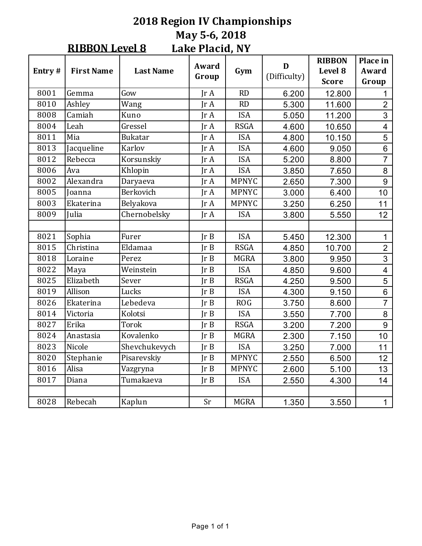#### **2018 Region IV Championships May 5-6, 2018** Lake Placid, NY **RIBBON Level 8**

| Entry# | <b>First Name</b> | <b>Last Name</b> | Award<br>Group | Gym          | D<br>(Difficulty) | <b>RIBBON</b><br>Level 8<br><b>Score</b> | Place in<br>Award<br>Group |
|--------|-------------------|------------------|----------------|--------------|-------------------|------------------------------------------|----------------------------|
| 8001   | Gemma             | Gow              | Ir A           | <b>RD</b>    | 6.200             | 12.800                                   | 1                          |
| 8010   | Ashley            | Wang             | IrA            | RD           | 5.300             | 11.600                                   | $\overline{2}$             |
| 8008   | Camiah            | Kuno             | $\text{Tr }A$  | <b>ISA</b>   | 5.050             | 11.200                                   | 3                          |
| 8004   | Leah              | Gressel          | Jr A           | <b>RSGA</b>  | 4.600             | 10.650                                   | $\overline{\mathbf{4}}$    |
| 8011   | Mia               | <b>Bukatar</b>   | IrA            | <b>ISA</b>   | 4.800             | 10.150                                   | 5                          |
| 8013   | Jacqueline        | Karlov           | $\text{Tr }A$  | <b>ISA</b>   | 4.600             | 9.050                                    | $6\phantom{1}6$            |
| 8012   | Rebecca           | Korsunskiy       | Jr A           | <b>ISA</b>   | 5.200             | 8.800                                    | $\overline{7}$             |
| 8006   | Ava               | Khlopin          | IrA            | <b>ISA</b>   | 3.850             | 7.650                                    | $\overline{8}$             |
| 8002   | Alexandra         | Daryaeva         | IrA            | <b>MPNYC</b> | 2.650             | 7.300                                    | 9                          |
| 8005   | Joanna            | Berkovich        | IrA            | <b>MPNYC</b> | 3.000             | 6.400                                    | 10                         |
| 8003   | Ekaterina         | Belyakova        | $\text{Tr }A$  | <b>MPNYC</b> | 3.250             | 6.250                                    | 11                         |
| 8009   | Julia             | Chernobelsky     | IrA            | <b>ISA</b>   | 3.800             | 5.550                                    | 12                         |
|        |                   |                  |                |              |                   |                                          |                            |
| 8021   | Sophia            | Furer            | Ir B           | <b>ISA</b>   | 5.450             | 12.300                                   | 1                          |
| 8015   | Christina         | Eldamaa          | Ir B           | <b>RSGA</b>  | 4.850             | 10.700                                   | $\overline{2}$             |
| 8018   | Loraine           | Perez            | Ir B           | <b>MGRA</b>  | 3.800             | 9.950                                    | $\overline{3}$             |
| 8022   | Maya              | Weinstein        | Ir B           | <b>ISA</b>   | 4.850             | 9.600                                    | $\overline{\mathbf{4}}$    |
| 8025   | Elizabeth         | Sever            | Ir B           | <b>RSGA</b>  | 4.250             | 9.500                                    | 5                          |
| 8019   | Allison           | Lucks            | Ir B           | <b>ISA</b>   | 4.300             | 9.150                                    | $6\phantom{1}$             |
| 8026   | Ekaterina         | Lebedeva         | Ir B           | <b>ROG</b>   | 3.750             | 8.600                                    | $\overline{7}$             |
| 8014   | Victoria          | Kolotsi          | Ir B           | <b>ISA</b>   | 3.550             | 7.700                                    | 8                          |
| 8027   | Erika             | Torok            | Ir B           | <b>RSGA</b>  | 3.200             | 7.200                                    | 9                          |
| 8024   | Anastasia         | Kovalenko        | Ir B           | <b>MGRA</b>  | 2.300             | 7.150                                    | 10                         |
| 8023   | Nicole            | Shevchukevych    | Ir B           | <b>ISA</b>   | 3.250             | 7.000                                    | 11                         |
| 8020   | Stephanie         | Pisarevskiy      | Ir B           | <b>MPNYC</b> | 2.550             | 6.500                                    | 12                         |
| 8016   | Alisa             | Vazgryna         | Ir B           | <b>MPNYC</b> | 2.600             | 5.100                                    | 13                         |
| 8017   | Diana             | Tumakaeva        | Ir B           | <b>ISA</b>   | 2.550             | 4.300                                    | 14                         |
|        |                   |                  |                |              |                   |                                          |                            |
| 8028   | Rebecah           | Kaplun           | Sr             | <b>MGRA</b>  | 1.350             | 3.550                                    | 1                          |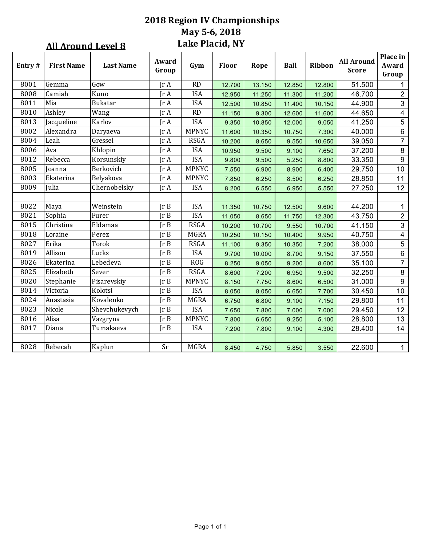## **2018 Region IV Championships May 5-6, 2018** Lake Placid, NY

|        | <b>All Around Level 8</b> |                  |                | Lake Placid, NY |        |        |             |        |                                   |                            |
|--------|---------------------------|------------------|----------------|-----------------|--------|--------|-------------|--------|-----------------------------------|----------------------------|
| Entry# | <b>First Name</b>         | <b>Last Name</b> | Award<br>Group | Gym             | Floor  | Rope   | <b>Ball</b> | Ribbon | <b>All Around</b><br><b>Score</b> | Place in<br>Award<br>Group |
| 8001   | Gemma                     | Gow              | Jr A           | RD              | 12.700 | 13.150 | 12.850      | 12.800 | 51.500                            | $\mathbf{1}$               |
| 8008   | Camiah                    | Kuno             | Ir A           | <b>ISA</b>      | 12.950 | 11.250 | 11.300      | 11.200 | 46.700                            | $\overline{2}$             |
| 8011   | Mia                       | Bukatar          | Jr A           | <b>ISA</b>      | 12.500 | 10.850 | 11.400      | 10.150 | 44.900                            | $\mathfrak{S}$             |
| 8010   | Ashley                    | Wang             | Ir A           | RD              | 11.150 | 9.300  | 12.600      | 11.600 | 44.650                            | $\overline{4}$             |
| 8013   | Jacqueline                | Karlov           | Jr A           | <b>ISA</b>      | 9.350  | 10.850 | 12.000      | 9.050  | 41.250                            | $\overline{5}$             |
| 8002   | Alexandra                 | Daryaeva         | Ir A           | <b>MPNYC</b>    | 11.600 | 10.350 | 10.750      | 7.300  | 40.000                            | $6\phantom{.}$             |
| 8004   | Leah                      | Gressel          | Jr A           | <b>RSGA</b>     | 10.200 | 8.650  | 9.550       | 10.650 | 39.050                            | $\overline{7}$             |
| 8006   | Ava                       | Khlopin          | Jr A           | <b>ISA</b>      | 10.950 | 9.500  | 9.100       | 7.650  | 37.200                            | 8                          |
| 8012   | Rebecca                   | Korsunskiy       | Jr A           | <b>ISA</b>      | 9.800  | 9.500  | 5.250       | 8.800  | 33.350                            | $\boldsymbol{9}$           |
| 8005   | Joanna                    | Berkovich        | Jr A           | <b>MPNYC</b>    | 7.550  | 6.900  | 8.900       | 6.400  | 29.750                            | 10 <sub>1</sub>            |
| 8003   | Ekaterina                 | Belyakova        | Jr A           | <b>MPNYC</b>    | 7.850  | 6.250  | 8.500       | 6.250  | 28.850                            | 11                         |
| 8009   | Julia                     | Chernobelsky     | Jr A           | <b>ISA</b>      | 8.200  | 6.550  | 6.950       | 5.550  | 27.250                            | 12                         |
|        |                           |                  |                |                 |        |        |             |        |                                   |                            |
| 8022   | Maya                      | Weinstein        | $JrB$          | <b>ISA</b>      | 11.350 | 10.750 | 12.500      | 9.600  | 44.200                            | $\mathbf{1}$               |
| 8021   | Sophia                    | Furer            | JrB            | <b>ISA</b>      | 11.050 | 8.650  | 11.750      | 12.300 | 43.750                            | $\overline{2}$             |
| 8015   | Christina                 | Eldamaa          | JrB            | <b>RSGA</b>     | 10.200 | 10.700 | 9.550       | 10.700 | 41.150                            | $\mathfrak{S}$             |
| 8018   | Loraine                   | Perez            | Ir B           | <b>MGRA</b>     | 10.250 | 10.150 | 10.400      | 9.950  | 40.750                            | $\overline{\mathbf{4}}$    |
| 8027   | Erika                     | <b>Torok</b>     | Ir B           | <b>RSGA</b>     | 11.100 | 9.350  | 10.350      | 7.200  | 38.000                            | 5                          |
| 8019   | Allison                   | Lucks            | JrB            | <b>ISA</b>      | 9.700  | 10.000 | 8.700       | 9.150  | 37.550                            | $\,6\,$                    |
| 8026   | Ekaterina                 | Lebedeva         | JrB            | <b>ROG</b>      | 8.250  | 9.050  | 9.200       | 8.600  | 35.100                            | $\overline{7}$             |
| 8025   | Elizabeth                 | Sever            | Ir B           | <b>RSGA</b>     | 8.600  | 7.200  | 6.950       | 9.500  | 32.250                            | $\bf 8$                    |
| 8020   | Stephanie                 | Pisarevskiy      | Jr B           | <b>MPNYC</b>    | 8.150  | 7.750  | 8.600       | 6.500  | 31.000                            | $\boldsymbol{9}$           |
| 8014   | Victoria                  | Kolotsi          | IrB            | <b>ISA</b>      | 8.050  | 8.050  | 6.650       | 7.700  | 30.450                            | 10                         |
| 8024   | Anastasia                 | Kovalenko        | JrB            | <b>MGRA</b>     | 6.750  | 6.800  | 9.100       | 7.150  | 29.800                            | 11                         |
| 8023   | Nicole                    | Shevchukevych    | Ir B           | <b>ISA</b>      | 7.650  | 7.800  | 7.000       | 7.000  | 29.450                            | 12                         |
| 8016   | Alisa                     | Vazgryna         | JrB            | <b>MPNYC</b>    | 7.800  | 6.650  | 9.250       | 5.100  | 28.800                            | 13                         |
| 8017   | Diana                     | Tumakaeva        | IrB            | <b>ISA</b>      | 7.200  | 7.800  | 9.100       | 4.300  | 28.400                            | 14                         |
|        |                           |                  |                |                 |        |        |             |        |                                   |                            |
| 8028   | Rebecah                   | Kaplun           | Sr             | <b>MGRA</b>     | 8.450  | 4.750  | 5.850       | 3.550  | 22.600                            | $\mathbf{1}$               |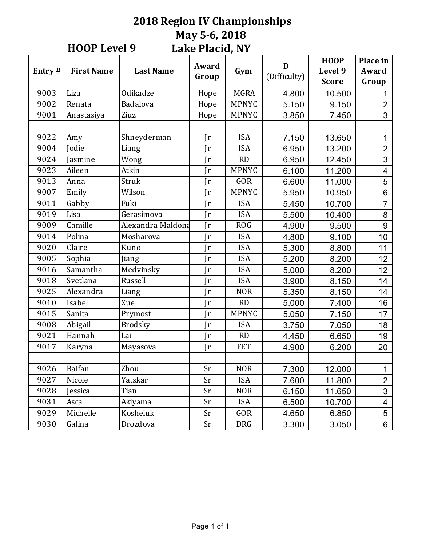#### **2018 Region IV Championships May 5-6, 2018 Lake Placid, NY HOOP** Level 9

|        |                   |                   | PARC I RICIU) IVI |              |                   |                                        |                            |
|--------|-------------------|-------------------|-------------------|--------------|-------------------|----------------------------------------|----------------------------|
| Entry# | <b>First Name</b> | <b>Last Name</b>  | Award<br>Group    | Gym          | D<br>(Difficulty) | <b>HOOP</b><br>Level 9<br><b>Score</b> | Place in<br>Award<br>Group |
| 9003   | Liza              | Odikadze          | Hope              | <b>MGRA</b>  | 4.800             | 10.500                                 |                            |
| 9002   | Renata            | Badalova          | Hope              | <b>MPNYC</b> | 5.150             | 9.150                                  | $\overline{2}$             |
| 9001   | Anastasiya        | Ziuz              | Hope              | <b>MPNYC</b> | 3.850             | 7.450                                  | 3                          |
|        |                   |                   |                   |              |                   |                                        |                            |
| 9022   | Amy               | Shneyderman       | Jr                | <b>ISA</b>   | 7.150             | 13.650                                 | 1                          |
| 9004   | Jodie             | Liang             | $\mathbf{r}$      | <b>ISA</b>   | 6.950             | 13.200                                 | $\overline{2}$             |
| 9024   | Jasmine           | Wong              | Jr                | <b>RD</b>    | 6.950             | 12.450                                 | 3                          |
| 9023   | Aileen            | Atkin             | $\mathbf{r}$      | <b>MPNYC</b> | 6.100             | 11.200                                 | $\overline{\mathbf{4}}$    |
| 9013   | Anna              | Struk             | $\mathbf{r}$      | <b>GOR</b>   | 6.600             | 11.000                                 | 5                          |
| 9007   | Emily             | Wilson            | Jr                | <b>MPNYC</b> | 5.950             | 10.950                                 | 6                          |
| 9011   | Gabby             | Fuki              | Jr                | <b>ISA</b>   | 5.450             | 10.700                                 | $\overline{7}$             |
| 9019   | Lisa              | Gerasimova        | Jr                | <b>ISA</b>   | 5.500             | 10.400                                 | 8                          |
| 9009   | Camille           | Alexandra Maldona | Jr                | <b>ROG</b>   | 4.900             | 9.500                                  | 9                          |
| 9014   | Polina            | Mosharova         | $\mathbf{r}$      | <b>ISA</b>   | 4.800             | 9.100                                  | 10                         |
| 9020   | Claire            | Kuno              | $\mathbf{r}$      | <b>ISA</b>   | 5.300             | 8.800                                  | 11                         |
| 9005   | Sophia            | Jiang             | Jr                | <b>ISA</b>   | 5.200             | 8.200                                  | 12                         |
| 9016   | Samantha          | Medvinsky         | Ir                | <b>ISA</b>   | 5.000             | 8.200                                  | 12                         |
| 9018   | Svetlana          | Russell           | $\mathbf{r}$      | <b>ISA</b>   | 3.900             | 8.150                                  | 14                         |
| 9025   | Alexandra         | Liang             | Jr                | <b>NOR</b>   | 5.350             | 8.150                                  | 14                         |
| 9010   | Isabel            | Xue               | Jr                | <b>RD</b>    | 5.000             | 7.400                                  | 16                         |
| 9015   | Sanita            | Prymost           | $\mathbf{r}$      | <b>MPNYC</b> | 5.050             | 7.150                                  | 17                         |
| 9008   | Abigail           | <b>Brodsky</b>    | Jr                | <b>ISA</b>   | 3.750             | 7.050                                  | 18                         |
| 9021   | Hannah            | Lai               | Jr                | <b>RD</b>    | 4.450             | 6.650                                  | 19                         |
| 9017   | Karyna            | Mayasova          | Jr                | <b>FET</b>   | 4.900             | 6.200                                  | 20                         |
|        |                   |                   |                   |              |                   |                                        |                            |
| 9026   | Baifan            | Zhou              | Sr                | <b>NOR</b>   | 7.300             | 12.000                                 | 1                          |
| 9027   | Nicole            | Yatskar           | Sr                | <b>ISA</b>   | 7.600             | 11.800                                 | $\overline{2}$             |
| 9028   | Jessica           | Tian              | Sr                | <b>NOR</b>   | 6.150             | 11.650                                 | $\overline{3}$             |
| 9031   | Asca              | Akiyama           | Sr                | <b>ISA</b>   | 6.500             | 10.700                                 | $\overline{\mathbf{4}}$    |
| 9029   | Michelle          | Kosheluk          | Sr                | GOR          | 4.650             | 6.850                                  | 5                          |
| 9030   | Galina            | Drozdova          | Sr                | <b>DRG</b>   | 3.300             | 3.050                                  | $\,6\,$                    |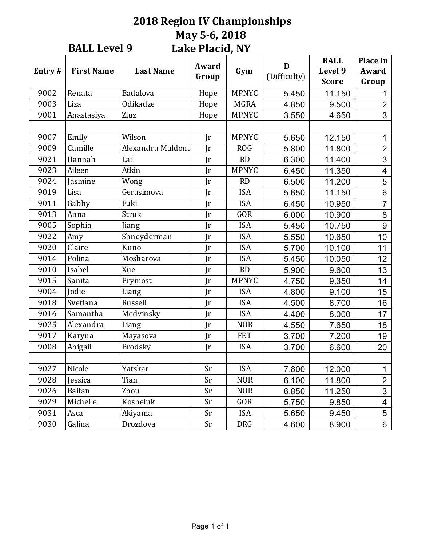#### **2018 Region IV Championships May 5-6, 2018 Lake Placid, NY BALL Level 9**

|        |                   |                   | LUIN I KULIU) IVI |              |                   |                                        |                            |
|--------|-------------------|-------------------|-------------------|--------------|-------------------|----------------------------------------|----------------------------|
| Entry# | <b>First Name</b> | <b>Last Name</b>  | Award<br>Group    | Gym          | D<br>(Difficulty) | <b>BALL</b><br>Level 9<br><b>Score</b> | Place in<br>Award<br>Group |
| 9002   | Renata            | Badalova          | Hope              | <b>MPNYC</b> | 5.450             | 11.150                                 | 1                          |
| 9003   | Liza              | Odikadze          | Hope              | <b>MGRA</b>  | 4.850             | 9.500                                  | $\overline{2}$             |
| 9001   | Anastasiya        | Ziuz              | Hope              | <b>MPNYC</b> | 3.550             | 4.650                                  | 3                          |
|        |                   |                   |                   |              |                   |                                        |                            |
| 9007   | Emily             | Wilson            | $\mathbf{r}$      | <b>MPNYC</b> | 5.650             | 12.150                                 | 1                          |
| 9009   | Camille           | Alexandra Maldona | $\mathbf{r}$      | <b>ROG</b>   | 5.800             | 11.800                                 | $\overline{2}$             |
| 9021   | Hannah            | Lai               | $\mathbf{r}$      | <b>RD</b>    | 6.300             | 11.400                                 | 3                          |
| 9023   | Aileen            | Atkin             | $\mathbf{r}$      | <b>MPNYC</b> | 6.450             | 11.350                                 | $\overline{\mathbf{4}}$    |
| 9024   | Jasmine           | Wong              | $\mathbf{r}$      | <b>RD</b>    | 6.500             | 11.200                                 | 5                          |
| 9019   | Lisa              | Gerasimova        | $\mathbf{r}$      | <b>ISA</b>   | 5.650             | 11.150                                 | 6                          |
| 9011   | Gabby             | Fuki              | $\mathbf{r}$      | <b>ISA</b>   | 6.450             | 10.950                                 | $\overline{7}$             |
| 9013   | Anna              | Struk             | $\mathbf{r}$      | <b>GOR</b>   | 6.000             | 10.900                                 | 8                          |
| 9005   | Sophia            | Jiang             | $\mathbf{r}$      | <b>ISA</b>   | 5.450             | 10.750                                 | 9                          |
| 9022   | Amy               | Shneyderman       | $\mathbf{r}$      | <b>ISA</b>   | 5.550             | 10.650                                 | 10                         |
| 9020   | Claire            | Kuno              | $\mathbf{r}$      | <b>ISA</b>   | 5.700             | 10.100                                 | 11                         |
| 9014   | Polina            | Mosharova         | $\mathbf{r}$      | <b>ISA</b>   | 5.450             | 10.050                                 | 12                         |
| 9010   | Isabel            | Xue               | $\mathbf{r}$      | RD           | 5.900             | 9.600                                  | 13                         |
| 9015   | Sanita            | Prymost           | $\mathbf{r}$      | <b>MPNYC</b> | 4.750             | 9.350                                  | 14                         |
| 9004   | <b>Jodie</b>      | Liang             | $\mathbf{r}$      | <b>ISA</b>   | 4.800             | 9.100                                  | 15                         |
| 9018   | Svetlana          | Russell           | Jr                | <b>ISA</b>   | 4.500             | 8.700                                  | 16                         |
| 9016   | Samantha          | Medvinsky         | $\mathbf{r}$      | <b>ISA</b>   | 4.400             | 8.000                                  | 17                         |
| 9025   | Alexandra         | Liang             | $\mathbf{r}$      | <b>NOR</b>   | 4.550             | 7.650                                  | 18                         |
| 9017   | Karyna            | Mayasova          | Jr                | <b>FET</b>   | 3.700             | 7.200                                  | 19                         |
| 9008   | Abigail           | <b>Brodsky</b>    | $\mathbf{r}$      | <b>ISA</b>   | 3.700             | 6.600                                  | 20                         |
|        |                   |                   |                   |              |                   |                                        |                            |
| 9027   | Nicole            | Yatskar           | Sr                | <b>ISA</b>   | 7.800             | 12.000                                 | $\mathbf 1$                |
| 9028   | Jessica           | Tian              | Sr                | <b>NOR</b>   | 6.100             | 11.800                                 | $\overline{2}$             |
| 9026   | <b>Baifan</b>     | Zhou              | Sr                | <b>NOR</b>   | 6.850             | 11.250                                 | 3                          |
| 9029   | Michelle          | Kosheluk          | Sr                | <b>GOR</b>   | 5.750             | 9.850                                  | $\overline{\mathbf{4}}$    |
| 9031   | Asca              | Akiyama           | Sr                | <b>ISA</b>   | 5.650             | 9.450                                  | 5                          |
| 9030   | Galina            | Drozdova          | Sr                | <b>DRG</b>   | 4.600             | 8.900                                  | 6                          |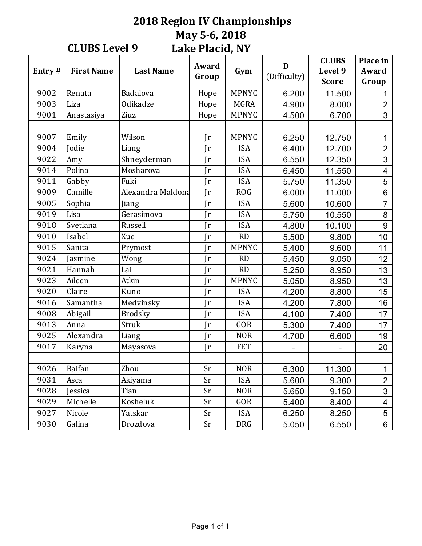#### **2018 Region IV Championships May 5-6, 2018** Lake Placid, NY **CLUBS** Level 9

| Entry# | <b>First Name</b> | <b>Last Name</b>  | Award<br>Group | Gym          | D<br>(Difficulty) | <b>CLUBS</b><br>Level 9<br><b>Score</b> | Place in<br>Award<br>Group |
|--------|-------------------|-------------------|----------------|--------------|-------------------|-----------------------------------------|----------------------------|
| 9002   | Renata            | Badalova          | Hope           | <b>MPNYC</b> | 6.200             | 11.500                                  | 1                          |
| 9003   | Liza              | Odikadze          | Hope           | <b>MGRA</b>  | 4.900             | 8.000                                   | $\overline{2}$             |
| 9001   | Anastasiya        | Ziuz              | Hope           | <b>MPNYC</b> | 4.500             | 6.700                                   | 3                          |
|        |                   |                   |                |              |                   |                                         |                            |
| 9007   | Emily             | Wilson            | Jr             | <b>MPNYC</b> | 6.250             | 12.750                                  | 1                          |
| 9004   | Jodie             | Liang             | Jr             | <b>ISA</b>   | 6.400             | 12.700                                  | $\overline{2}$             |
| 9022   | Amy               | Shneyderman       | $\mathbf{r}$   | <b>ISA</b>   | 6.550             | 12.350                                  | 3                          |
| 9014   | Polina            | Mosharova         | Jr             | <b>ISA</b>   | 6.450             | 11.550                                  | $\overline{4}$             |
| 9011   | Gabby             | Fuki              | Jr             | <b>ISA</b>   | 5.750             | 11.350                                  | 5                          |
| 9009   | Camille           | Alexandra Maldona | Jr             | <b>ROG</b>   | 6.000             | 11.000                                  | 6                          |
| 9005   | Sophia            | Jiang             | Jr             | <b>ISA</b>   | 5.600             | 10.600                                  | $\overline{7}$             |
| 9019   | Lisa              | Gerasimova        | $\mathbf{r}$   | <b>ISA</b>   | 5.750             | 10.550                                  | 8                          |
| 9018   | Svetlana          | Russell           | Jr             | <b>ISA</b>   | 4.800             | 10.100                                  | 9                          |
| 9010   | Isabel            | Xue               | $\mathbf{r}$   | <b>RD</b>    | 5.500             | 9.800                                   | 10                         |
| 9015   | Sanita            | Prymost           | $\mathbf{r}$   | <b>MPNYC</b> | 5.400             | 9.600                                   | 11                         |
| 9024   | Jasmine           | Wong              | Jr             | <b>RD</b>    | 5.450             | 9.050                                   | 12                         |
| 9021   | Hannah            | Lai               | Jr             | <b>RD</b>    | 5.250             | 8.950                                   | 13                         |
| 9023   | Aileen            | Atkin             | Jr             | <b>MPNYC</b> | 5.050             | 8.950                                   | 13                         |
| 9020   | Claire            | Kuno              | Jr             | <b>ISA</b>   | 4.200             | 8.800                                   | 15                         |
| 9016   | Samantha          | Medvinsky         | Jr             | <b>ISA</b>   | 4.200             | 7.800                                   | 16                         |
| 9008   | Abigail           | <b>Brodsky</b>    | Jr             | <b>ISA</b>   | 4.100             | 7.400                                   | 17                         |
| 9013   | Anna              | Struk             | Jr             | GOR          | 5.300             | 7.400                                   | 17                         |
| 9025   | Alexandra         | Liang             | Jr             | <b>NOR</b>   | 4.700             | 6.600                                   | 19                         |
| 9017   | Karyna            | Mayasova          | Jr             | <b>FET</b>   |                   |                                         | 20                         |
|        |                   |                   |                |              |                   |                                         |                            |
| 9026   | Baifan            | Zhou              | Sr             | <b>NOR</b>   | 6.300             | 11.300                                  | 1                          |
| 9031   | Asca              | Akiyama           | Sr             | <b>ISA</b>   | 5.600             | 9.300                                   | $\overline{2}$             |
| 9028   | Jessica           | Tian              | Sr             | <b>NOR</b>   | 5.650             | 9.150                                   | 3                          |
| 9029   | Michelle          | Kosheluk          | Sr             | GOR          | 5.400             | 8.400                                   | 4                          |
| 9027   | Nicole            | Yatskar           | Sr             | <b>ISA</b>   | 6.250             | 8.250                                   | 5                          |
| 9030   | Galina            | Drozdova          | Sr             | <b>DRG</b>   | 5.050             | 6.550                                   | 6                          |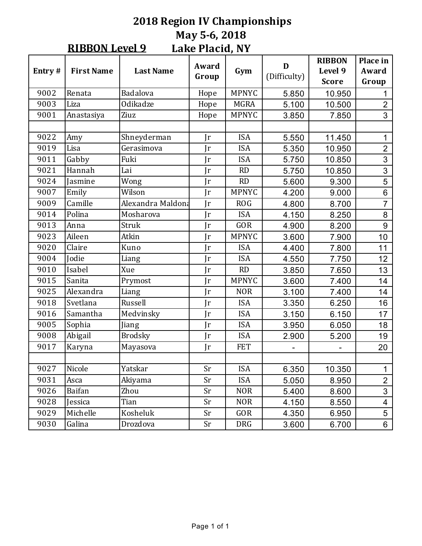#### **2018 Region IV Championships May 5-6, 2018 Lake Placid, NY RIBBON Level 9**

|        |                   |                   | Award        |              | D            | <b>RIBBON</b>           | Place in                |
|--------|-------------------|-------------------|--------------|--------------|--------------|-------------------------|-------------------------|
| Entry# | <b>First Name</b> | <b>Last Name</b>  | Group        | Gym          | (Difficulty) | Level 9<br><b>Score</b> | Award<br>Group          |
| 9002   | Renata            | Badalova          | Hope         | <b>MPNYC</b> | 5.850        | 10.950                  | 1                       |
| 9003   | Liza              | Odikadze          | Hope         | <b>MGRA</b>  | 5.100        | 10.500                  | $\overline{2}$          |
| 9001   | Anastasiya        | Ziuz              | Hope         | <b>MPNYC</b> | 3.850        | 7.850                   | 3                       |
|        |                   |                   |              |              |              |                         |                         |
| 9022   | Amy               | Shneyderman       | Jr           | <b>ISA</b>   | 5.550        | 11.450                  | 1                       |
| 9019   | Lisa              | Gerasimova        | $\mathbf{r}$ | <b>ISA</b>   | 5.350        | 10.950                  | $\overline{2}$          |
| 9011   | Gabby             | Fuki              | $\mathbf{r}$ | <b>ISA</b>   | 5.750        | 10.850                  | $\overline{3}$          |
| 9021   | Hannah            | Lai               | Jr           | RD           | 5.750        | 10.850                  | 3                       |
| 9024   | Jasmine           | Wong              | $\mathbf{r}$ | <b>RD</b>    | 5.600        | 9.300                   | $\overline{5}$          |
| 9007   | Emily             | Wilson            | $\mathbf{r}$ | <b>MPNYC</b> | 4.200        | 9.000                   | 6                       |
| 9009   | Camille           | Alexandra Maldona | $\mathbf{r}$ | <b>ROG</b>   | 4.800        | 8.700                   | $\overline{7}$          |
| 9014   | Polina            | Mosharova         | $\mathbf{r}$ | <b>ISA</b>   | 4.150        | 8.250                   | 8                       |
| 9013   | Anna              | Struk             | $\mathbf{r}$ | <b>GOR</b>   | 4.900        | 8.200                   | 9                       |
| 9023   | Aileen            | Atkin             | $\mathbf{r}$ | <b>MPNYC</b> | 3.600        | 7.900                   | 10                      |
| 9020   | Claire            | Kuno              | $\mathbf{r}$ | <b>ISA</b>   | 4.400        | 7.800                   | 11                      |
| 9004   | Jodie             | Liang             | $\mathbf{r}$ | <b>ISA</b>   | 4.550        | 7.750                   | 12                      |
| 9010   | Isabel            | Xue               | Jr           | <b>RD</b>    | 3.850        | 7.650                   | 13                      |
| 9015   | Sanita            | Prymost           | $\mathbf{r}$ | <b>MPNYC</b> | 3.600        | 7.400                   | 14                      |
| 9025   | Alexandra         | Liang             | $\mathbf{r}$ | <b>NOR</b>   | 3.100        | 7.400                   | 14                      |
| 9018   | Svetlana          | Russell           | Jr           | <b>ISA</b>   | 3.350        | 6.250                   | 16                      |
| 9016   | Samantha          | Medvinsky         | $\mathbf{r}$ | <b>ISA</b>   | 3.150        | 6.150                   | 17                      |
| 9005   | Sophia            | Jiang             | $\mathbf{r}$ | <b>ISA</b>   | 3.950        | 6.050                   | 18                      |
| 9008   | Abigail           | <b>Brodsky</b>    | Jr           | <b>ISA</b>   | 2.900        | 5.200                   | 19                      |
| 9017   | Karyna            | Mayasova          | Jr           | <b>FET</b>   |              |                         | 20                      |
|        |                   |                   |              |              |              |                         |                         |
| 9027   | Nicole            | Yatskar           | Sr           | <b>ISA</b>   | 6.350        | 10.350                  | 1                       |
| 9031   | Asca              | Akiyama           | Sr           | <b>ISA</b>   | 5.050        | 8.950                   | $\overline{2}$          |
| 9026   | Baifan            | Zhou              | Sr           | <b>NOR</b>   | 5.400        | 8.600                   | 3                       |
| 9028   | Jessica           | Tian              | Sr           | <b>NOR</b>   | 4.150        | 8.550                   | $\overline{\mathbf{4}}$ |
| 9029   | Michelle          | Kosheluk          | Sr           | GOR          | 4.350        | 6.950                   | 5                       |
| 9030   | Galina            | Drozdova          | Sr           | <b>DRG</b>   | 3.600        | 6.700                   | 6                       |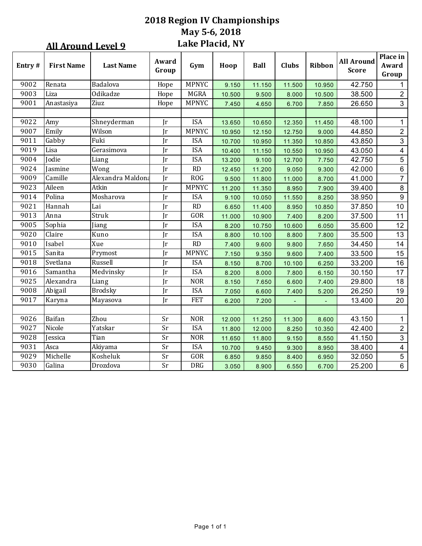## **2018 Region IV Championships May 5-6, 2018** Lake Placid, NY

|        | <b>All Around Level 9</b> |                   |                         | Lake Placid, NY |        |        |              |        |                                   |                            |
|--------|---------------------------|-------------------|-------------------------|-----------------|--------|--------|--------------|--------|-----------------------------------|----------------------------|
| Entry# | <b>First Name</b>         | <b>Last Name</b>  | Award<br>Group          | Gym             | Hoop   | Ball   | <b>Clubs</b> | Ribbon | <b>All Around</b><br><b>Score</b> | Place in<br>Award<br>Group |
| 9002   | Renata                    | Badalova          | Hope                    | <b>MPNYC</b>    | 9.150  | 11.150 | 11.500       | 10.950 | 42.750                            | 1                          |
| 9003   | Liza                      | Odikadze          | Hope                    | <b>MGRA</b>     | 10.500 | 9.500  | 8.000        | 10.500 | 38.500                            | $\overline{2}$             |
| 9001   | Anastasiya                | Ziuz              | Hope                    | <b>MPNYC</b>    | 7.450  | 4.650  | 6.700        | 7.850  | 26.650                            | $\mathfrak{S}$             |
| 9022   | Amy                       | Shneyderman       | Jr                      | <b>ISA</b>      | 13.650 | 10.650 | 12.350       | 11.450 | 48.100                            | $\mathbf{1}$               |
| 9007   | Emily                     | Wilson            | <b>Ir</b>               | <b>MPNYC</b>    | 10.950 | 12.150 | 12.750       | 9.000  | 44.850                            | $\overline{c}$             |
| 9011   | Gabby                     | Fuki              | Jr                      | <b>ISA</b>      | 10.700 | 10.950 | 11.350       | 10.850 | 43.850                            | $\mathbf{3}$               |
| 9019   | Lisa                      | Gerasimova        | <b>Ir</b>               | <b>ISA</b>      | 10.400 | 11.150 | 10.550       | 10.950 | 43.050                            | $\overline{4}$             |
| 9004   | Jodie                     | Liang             | <b>Ir</b>               | <b>ISA</b>      | 13.200 | 9.100  | 12.700       | 7.750  | 42.750                            | $\overline{5}$             |
| 9024   | Jasmine                   | Wong              | Jr                      | RD              | 12.450 | 11.200 | 9.050        | 9.300  | 42.000                            | $\,6\,$                    |
| 9009   | Camille                   | Alexandra Maldona | $\overline{\mathbf{r}}$ | ROG             | 9.500  | 11.800 | 11.000       | 8.700  | 41.000                            | $\overline{7}$             |
| 9023   | Aileen                    | Atkin             | <b>Ir</b>               | <b>MPNYC</b>    | 11.200 | 11.350 | 8.950        | 7.900  | 39.400                            | $\bf 8$                    |
| 9014   | Polina                    | Mosharova         | Jr                      | <b>ISA</b>      | 9.100  | 10.050 | 11.550       | 8.250  | 38.950                            | $\boldsymbol{9}$           |
| 9021   | Hannah                    | Lai               | Jr                      | RD              | 6.650  | 11.400 | 8.950        | 10.850 | 37.850                            | 10                         |
| 9013   | Anna                      | Struk             | Jr                      | GOR             | 11.000 | 10.900 | 7.400        | 8.200  | 37.500                            | 11                         |
| 9005   | Sophia                    | Jiang             | Jr                      | <b>ISA</b>      | 8.200  | 10.750 | 10.600       | 6.050  | 35.600                            | 12                         |
| 9020   | Claire                    | Kuno              | Jr                      | <b>ISA</b>      | 8.800  | 10.100 | 8.800        | 7.800  | 35.500                            | 13                         |
| 9010   | Isabel                    | Xue               | Jr                      | RD              | 7.400  | 9.600  | 9.800        | 7.650  | 34.450                            | 14                         |
| 9015   | Sanita                    | Prymost           | $\mathbf{r}$            | <b>MPNYC</b>    | 7.150  | 9.350  | 9.600        | 7.400  | 33.500                            | 15                         |
| 9018   | Svetlana                  | Russell           | Jr                      | <b>ISA</b>      | 8.150  | 8.700  | 10.100       | 6.250  | 33.200                            | 16                         |
| 9016   | Samantha                  | Medvinsky         | $\mathbf{r}$            | <b>ISA</b>      | 8.200  | 8.000  | 7.800        | 6.150  | 30.150                            | 17                         |
| 9025   | Alexandra                 | Liang             | <b>Ir</b>               | <b>NOR</b>      | 8.150  | 7.650  | 6.600        | 7.400  | 29.800                            | 18                         |
| 9008   | Abigail                   | <b>Brodsky</b>    | $\mathbf{r}$            | <b>ISA</b>      | 7.050  | 6.600  | 7.400        | 5.200  | 26.250                            | 19                         |
| 9017   | Karyna                    | Mayasova          | <b>Ir</b>               | <b>FET</b>      | 6.200  | 7.200  |              |        | 13.400                            | 20                         |
|        |                           |                   |                         |                 |        |        |              |        |                                   |                            |
| 9026   | Baifan                    | Zhou              | $\overline{\text{Sr}}$  | <b>NOR</b>      | 12.000 | 11.250 | 11.300       | 8.600  | 43.150                            | $\mathbf{1}$               |
| 9027   | Nicole                    | Yatskar           | $\overline{\text{Sr}}$  | <b>ISA</b>      | 11.800 | 12.000 | 8.250        | 10.350 | 42.400                            | $\overline{2}$             |
| 9028   | Jessica                   | Tian              | Sr                      | <b>NOR</b>      | 11.650 | 11.800 | 9.150        | 8.550  | 41.150                            | 3                          |
| 9031   | Asca                      | Akiyama           | Sr                      | <b>ISA</b>      | 10.700 | 9.450  | 9.300        | 8.950  | 38.400                            | $\overline{4}$             |
| 9029   | Michelle                  | Kosheluk          | $\rm Sr$                | GOR             | 6.850  | 9.850  | 8.400        | 6.950  | 32.050                            | $\overline{5}$             |
| 9030   | Galina                    | Drozdova          | Sr                      | DRG             | 3.050  | 8.900  | 6.550        | 6.700  | 25.200                            | $6\phantom{a}$             |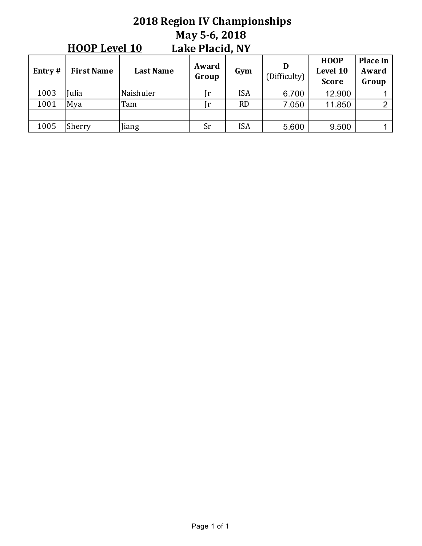#### **2018 Region IV Championships May 5-6, 2018** Lake Placid, NY **HOOP** Level 10

| Entry $#$ | <b>First Name</b> | <b>Last Name</b> | Award<br>Group | Gym        | D<br>(Difficulty) | <b>HOOP</b><br>Level 10<br><b>Score</b> | <b>Place In</b><br>Award<br>Group |
|-----------|-------------------|------------------|----------------|------------|-------------------|-----------------------------------------|-----------------------------------|
| 1003      | ulia              | Naishuler        | r              | <b>ISA</b> | 6.700             | 12.900                                  |                                   |
| 1001      | Mya               | Tam              | ır             | <b>RD</b>  | 7.050             | 11.850                                  | ◠                                 |
|           |                   |                  |                |            |                   |                                         |                                   |
| 1005      | Sherry            | Jiang            | Sr             | <b>ISA</b> | 5.600             | 9.500                                   |                                   |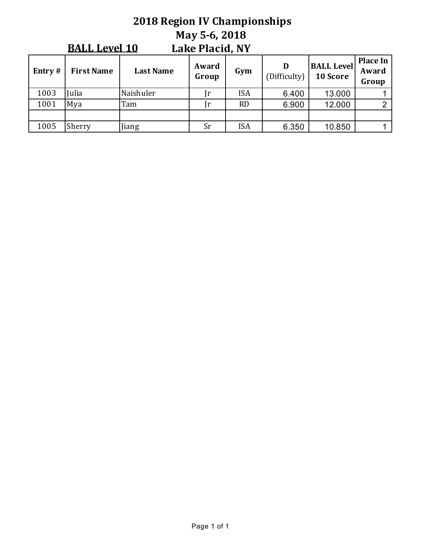#### **2018 Region IV Championships May 5-6, 2018** Lake Placid, NY **BALL Level 10**

|           |                   |                  |                |            |                   |                               | <b>Place In</b> |
|-----------|-------------------|------------------|----------------|------------|-------------------|-------------------------------|-----------------|
| Entry $#$ | <b>First Name</b> | <b>Last Name</b> | Award<br>Group | Gym        | D<br>(Difficulty) | <b>BALL Level</b><br>10 Score | Award<br>Group  |
| 1003      | ulia              | Naishuler        |                | <b>ISA</b> | 6.400             | 13.000                        |                 |
| 1001      | Mya               | Tam              |                | <b>RD</b>  | 6.900             | 12.000                        |                 |
|           |                   |                  |                |            |                   |                               |                 |
| 1005      | Sherry            | Jiang            | <b>Sr</b>      | <b>ISA</b> | 6.350             | 10.850                        |                 |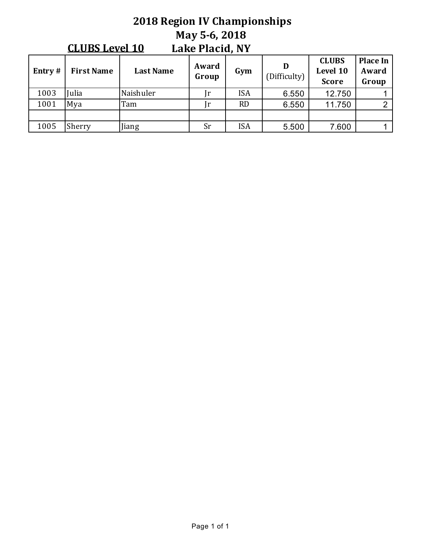#### **2018 Region IV Championships May 5-6, 2018** Lake Placid, NY **CLUBS** Level 10

| Entry $#$ | <b>First Name</b> | <b>Last Name</b> | Award<br>Group | Gym        | (Difficulty) | <b>CLUBS</b><br>Level 10<br><b>Score</b> | Place In $ $<br>Award<br>Group |
|-----------|-------------------|------------------|----------------|------------|--------------|------------------------------------------|--------------------------------|
| 1003      | ulia              | Naishuler        |                | <b>ISA</b> | 6.550        | 12.750                                   |                                |
| 1001      | Mya               | Tam              |                | <b>RD</b>  | 6.550        | 11.750                                   | C                              |
|           |                   |                  |                |            |              |                                          |                                |
| 1005      | Sherry            | Jiang            | <b>Sr</b>      | <b>ISA</b> | 5.500        | 7.600                                    |                                |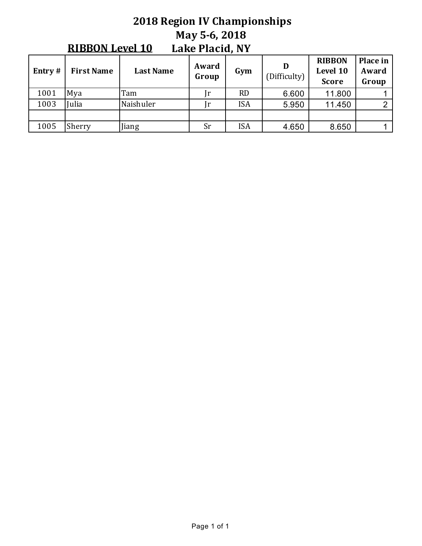#### **2018 Region IV Championships May 5-6, 2018** Lake Placid, NY **RIBBON Level 10**

| Entry $#$ | <b>First Name</b> | <b>Last Name</b> | Award<br>Group | Gym        | (Difficulty) | <b>RIBBON</b><br>Level 10<br><b>Score</b> | Place in<br>Award<br>Group |
|-----------|-------------------|------------------|----------------|------------|--------------|-------------------------------------------|----------------------------|
| 1001      | Mya               | Tam              |                | <b>RD</b>  | 6.600        | 11.800                                    |                            |
| 1003      | <b>Julia</b>      | Naishuler        |                | <b>ISA</b> | 5.950        | 11.450                                    | C.                         |
|           |                   |                  |                |            |              |                                           |                            |
| 1005      | Sherry            | Jiang            | Sr             | <b>ISA</b> | 4.650        | 8.650                                     |                            |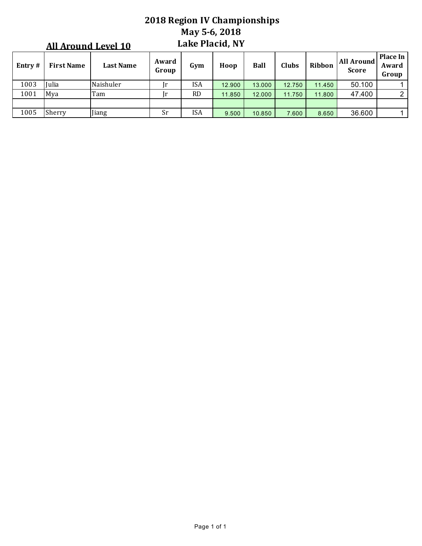## **2018 Region IV Championships May 5-6, 2018** Lake Placid, NY

|           | <b>All Around Level 10</b> |                  |                |           | <b>Lake Placid, NY</b> |             |        |        |                            |                                   |
|-----------|----------------------------|------------------|----------------|-----------|------------------------|-------------|--------|--------|----------------------------|-----------------------------------|
| Entry $#$ | <b>First Name</b>          | <b>Last Name</b> | Award<br>Group | Gym       | Hoop                   | <b>Ball</b> | Clubs  | Ribbon | All Around<br><b>Score</b> | <b>Place In</b><br>Award<br>Group |
| 1003      | Iulia                      | Naishuler        |                | ISA       | 12.900                 | 13.000      | 12.750 | 11.450 | 50.100                     |                                   |
| 1001      | Mva                        | Tam              |                | <b>RD</b> | 11.850                 | 12.000      | 11.750 | 11.800 | 47.400                     | $\overline{2}$                    |
|           |                            |                  |                |           |                        |             |        |        |                            |                                   |
| 1005      | Sherry                     | Jiang            | Sr             | ISA       | 9.500                  | 10.850      | 7.600  | 8.650  | 36.600                     |                                   |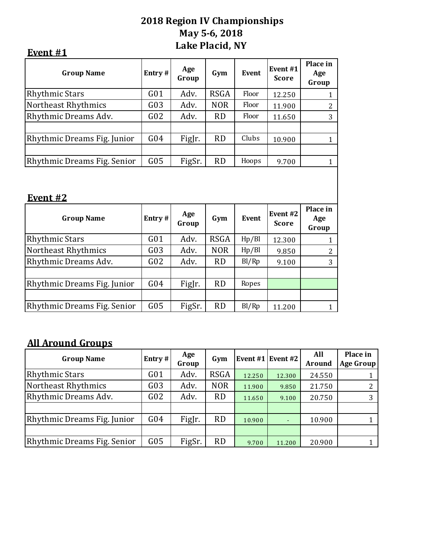## **2018 Region IV Championships May 5-6, 2018 Lake Placid, NY**

| vei<br>n |
|----------|
|----------|

| Entry#          | Age<br>Group | Gym         | <b>Event</b> | Event <sub>#1</sub><br><b>Score</b> | Place in<br>Age<br>Group |
|-----------------|--------------|-------------|--------------|-------------------------------------|--------------------------|
| G <sub>01</sub> | Adv.         | <b>RSGA</b> | Floor        | 12.250                              | $\mathbf{1}$             |
| G03             | Adv.         | <b>NOR</b>  | Floor        | 11.900                              | $\overline{2}$           |
| G <sub>02</sub> | Adv.         | <b>RD</b>   | Floor        | 11.650                              | 3                        |
|                 |              |             |              |                                     |                          |
| G <sub>04</sub> | FigJr.       | <b>RD</b>   | Clubs        | 10.900                              | $\mathbf{1}$             |
|                 |              |             |              |                                     |                          |
| G05             | FigSr.       | <b>RD</b>   | Hoops        | 9.700                               | $\mathbf{1}$             |
|                 |              |             |              |                                     |                          |
| Entry#          | Age<br>Group | Gym         | <b>Event</b> | Event #2<br><b>Score</b>            | Place in<br>Age<br>Group |
| G <sub>01</sub> | Adv.         | <b>RSGA</b> | Hp/Bl        | 12.300                              | $\mathbf{1}$             |
| G <sub>03</sub> | Adv.         | <b>NOR</b>  | Hp/Bl        | 9.850                               | 2                        |
| G <sub>02</sub> | Adv.         | <b>RD</b>   | Bl/Rp        | 9.100                               | 3                        |
|                 |              |             |              |                                     |                          |
| G <sub>04</sub> | FigJr.       | <b>RD</b>   | Ropes        |                                     |                          |
|                 |              |             |              |                                     |                          |

Rhythmic Dreams Fig. Senior  $\begin{array}{|c|c|c|c|c|c|c|c|c|} \hline \text{Rhythmic Dreams Fig. Senior} & \text{G05} & \text{FigSr.} & \text{RD} & \text{Bl/Rp} & \text{11.200} & \text{1} \hline \end{array}$ 

# **All Around Groups**

| <b>Group Name</b>           | Entry#          | Age<br>Group | Gym         |        | Event #1   Event #2 | All<br><b>Around</b> | Place in<br>Age Group |
|-----------------------------|-----------------|--------------|-------------|--------|---------------------|----------------------|-----------------------|
| Rhythmic Stars              | G <sub>01</sub> | Adv.         | <b>RSGA</b> | 12.250 | 12.300              | 24.550               |                       |
| Northeast Rhythmics         | G03             | Adv.         | <b>NOR</b>  | 11.900 | 9.850               | 21.750               |                       |
| Rhythmic Dreams Adv.        | G <sub>02</sub> | Adv.         | <b>RD</b>   | 11.650 | 9.100               | 20.750               | 3                     |
|                             |                 |              |             |        |                     |                      |                       |
| Rhythmic Dreams Fig. Junior | G04             | FigJr.       | <b>RD</b>   | 10.900 |                     | 10.900               |                       |
|                             |                 |              |             |        |                     |                      |                       |
| Rhythmic Dreams Fig. Senior | G05             | FigSr.       | <b>RD</b>   | 9.700  | 11.200              | 20.900               |                       |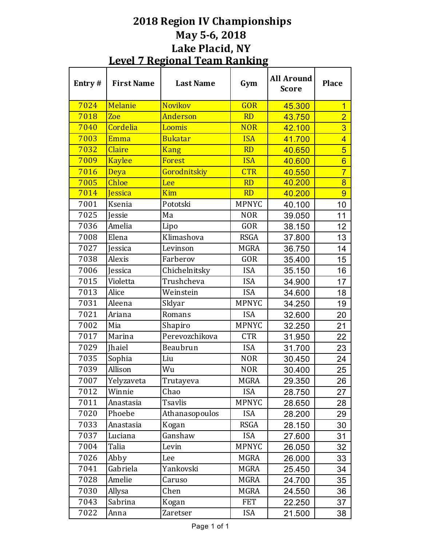# **2018 Region IV Championships May 5-6, 2018** Lake Placid, NY **Level 7 Regional Team Ranking**

| Entry# | <b>First Name</b> | <b>Last Name</b> | Gym          | <b>All Around</b><br><b>Score</b> | <b>Place</b>    |
|--------|-------------------|------------------|--------------|-----------------------------------|-----------------|
| 7024   | Melanie           | <b>Novikov</b>   | <b>GOR</b>   | 45.300                            | $\overline{1}$  |
| 7018   | Zoe               | Anderson         | <b>RD</b>    | 43.750                            | $\overline{2}$  |
| 7040   | Cordelia          | Loomis           | <b>NOR</b>   | 42.100                            | 3               |
| 7003   | Emma              | <b>Bukatar</b>   | <b>ISA</b>   | 41.700                            | $\overline{4}$  |
| 7032   | <b>Claire</b>     | <b>Kang</b>      | <b>RD</b>    | 40.650                            | $\overline{5}$  |
| 7009   | <b>Kaylee</b>     | Forest           | <b>ISA</b>   | 40.600                            | $6\overline{6}$ |
| 7016   | Deya              | Gorodnitskiy     | <b>CTR</b>   | 40.550                            | $\overline{7}$  |
| 7005   | Chloe             | Lee              | <b>RD</b>    | 40.200                            | $\overline{8}$  |
| 7014   | Jessica           | Kim              | <b>RD</b>    | 40.200                            | 9               |
| 7001   | Ksenia            | Pototski         | <b>MPNYC</b> | 40.100                            | 10              |
| 7025   | Jessie            | Ma               | <b>NOR</b>   | 39.050                            | 11              |
| 7036   | Amelia            | Lipo             | <b>GOR</b>   | 38.150                            | 12              |
| 7008   | Elena             | Klimashova       | <b>RSGA</b>  | 37.800                            | 13              |
| 7027   | Jessica           | Levinson         | <b>MGRA</b>  | 36.750                            | 14              |
| 7038   | Alexis            | Farberov         | <b>GOR</b>   | 35.400                            | 15              |
| 7006   | Jessica           | Chichelnitsky    | <b>ISA</b>   | 35.150                            | 16              |
| 7015   | Violetta          | Trushcheva       | <b>ISA</b>   | 34.900                            | 17              |
| 7013   | Alice             | Weinstein        | <b>ISA</b>   | 34.600                            | 18              |
| 7031   | Aleena            | Sklyar           | <b>MPNYC</b> | 34.250                            | 19              |
| 7021   | Ariana            | Romans           | <b>ISA</b>   | 32.600                            | 20              |
| 7002   | Mia               | Shapiro          | <b>MPNYC</b> | 32.250                            | 21              |
| 7017   | Marina            | Perevozchikova   | <b>CTR</b>   | 31.950                            | 22              |
| 7029   | <b>Jhaiel</b>     | Beaubrun         | <b>ISA</b>   | 31.700                            | 23              |
| 7035   | Sophia            | Liu              | <b>NOR</b>   | 30.450                            | 24              |
| 7039   | Allison           | Wu               | <b>NOR</b>   | 30.400                            | 25              |
| 7007   | Yelyzaveta        | Trutayeva        | <b>MGRA</b>  | 29.350                            | 26              |
| 7012   | Winnie            | Chao             | <b>ISA</b>   | 28.750                            | 27              |
| 7011   | Anastasia         | <b>Tsavlis</b>   | <b>MPNYC</b> | 28.650                            | 28              |
| 7020   | Phoebe            | Athanasopoulos   | <b>ISA</b>   | 28.200                            | 29              |
| 7033   | Anastasia         | Kogan            | <b>RSGA</b>  | 28.150                            | 30              |
| 7037   | Luciana           | Ganshaw          | <b>ISA</b>   | 27.600                            | 31              |
| 7004   | Talia             | Levin            | MPNYC        | 26.050                            | 32              |
| 7026   | Abby              | Lee              | <b>MGRA</b>  | 26.000                            | 33              |
| 7041   | Gabriela          | Yankovski        | MGRA         | 25.450                            | 34              |
| 7028   | Amelie            | Caruso           | <b>MGRA</b>  | 24.700                            | 35              |
| 7030   | Allysa            | Chen             | <b>MGRA</b>  | 24.550                            | 36              |
| 7043   | Sabrina           | Kogan            | <b>FET</b>   | 22.250                            | 37              |
| 7022   | Anna              | Zaretser         | <b>ISA</b>   | 21.500                            | 38              |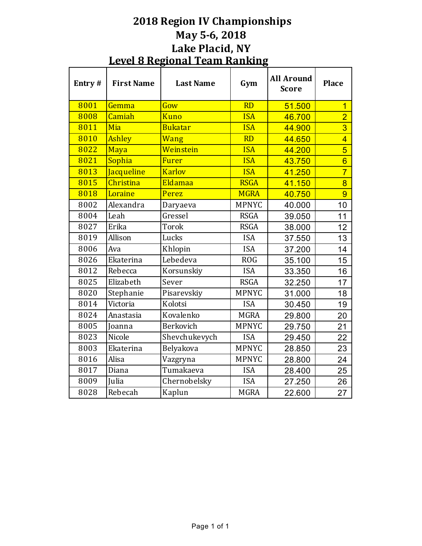# **2018 Region IV Championships May 5-6, 2018 Lake Placid, NY Level 8 Regional Team Ranking**

| Entry# | <b>First Name</b> | <b>Last Name</b> | Gym          | <b>All Around</b><br><b>Score</b> | <b>Place</b>   |
|--------|-------------------|------------------|--------------|-----------------------------------|----------------|
| 8001   | Gemma             | Gow              | <b>RD</b>    | 51.500                            | $\overline{1}$ |
| 8008   | Camiah            | <b>Kuno</b>      | <b>ISA</b>   | 46.700                            | $\overline{2}$ |
| 8011   | Mia               | <b>Bukatar</b>   | <b>ISA</b>   | 44.900                            | $\overline{3}$ |
| 8010   | <b>Ashley</b>     | Wang             | <b>RD</b>    | 44.650                            | $\overline{4}$ |
| 8022   | Maya              | Weinstein        | <b>ISA</b>   | 44.200                            | $\overline{5}$ |
| 8021   | Sophia            | <b>Furer</b>     | <b>ISA</b>   | 43.750                            | $\overline{6}$ |
| 8013   | <b>Jacqueline</b> | <b>Karlov</b>    | <b>ISA</b>   | 41.250                            | $\overline{7}$ |
| 8015   | Christina         | Eldamaa          | <b>RSGA</b>  | 41.150                            | 8              |
| 8018   | Loraine           | Perez            | <b>MGRA</b>  | 40.750                            | 9              |
| 8002   | Alexandra         | Daryaeva         | <b>MPNYC</b> | 40.000                            | 10             |
| 8004   | Leah              | Gressel          | <b>RSGA</b>  | 39.050                            | 11             |
| 8027   | Erika             | <b>Torok</b>     | <b>RSGA</b>  | 38.000                            | 12             |
| 8019   | Allison           | Lucks            | <b>ISA</b>   | 37.550                            | 13             |
| 8006   | Ava               | Khlopin          | <b>ISA</b>   | 37.200                            | 14             |
| 8026   | Ekaterina         | Lebedeva         | <b>ROG</b>   | 35.100                            | 15             |
| 8012   | Rebecca           | Korsunskiy       | <b>ISA</b>   | 33.350                            | 16             |
| 8025   | Elizabeth         | Sever            | <b>RSGA</b>  | 32.250                            | 17             |
| 8020   | Stephanie         | Pisarevskiy      | <b>MPNYC</b> | 31.000                            | 18             |
| 8014   | Victoria          | Kolotsi          | <b>ISA</b>   | 30.450                            | 19             |
| 8024   | Anastasia         | Kovalenko        | <b>MGRA</b>  | 29.800                            | 20             |
| 8005   | Joanna            | Berkovich        | <b>MPNYC</b> | 29.750                            | 21             |
| 8023   | Nicole            | Shevchukevych    | <b>ISA</b>   | 29.450                            | 22             |
| 8003   | Ekaterina         | Belyakova        | <b>MPNYC</b> | 28.850                            | 23             |
| 8016   | Alisa             | Vazgryna         | <b>MPNYC</b> | 28.800                            | 24             |
| 8017   | Diana             | Tumakaeva        | <b>ISA</b>   | 28.400                            | 25             |
| 8009   | Julia             | Chernobelsky     | <b>ISA</b>   | 27.250                            | 26             |
| 8028   | Rebecah           | Kaplun           | <b>MGRA</b>  | 22.600                            | 27             |